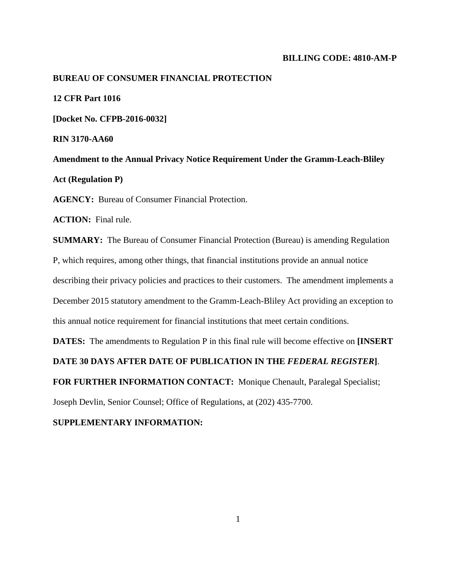#### **BILLING CODE: 4810-AM-P**

# **BUREAU OF CONSUMER FINANCIAL PROTECTION**

**12 CFR Part 1016**

**[Docket No. CFPB-2016-0032]**

**RIN 3170-AA60**

**Amendment to the Annual Privacy Notice Requirement Under the Gramm-Leach-Bliley Act (Regulation P)**

**AGENCY:** Bureau of Consumer Financial Protection.

**ACTION:** Final rule.

**SUMMARY:** The Bureau of Consumer Financial Protection (Bureau) is amending Regulation P, which requires, among other things, that financial institutions provide an annual notice describing their privacy policies and practices to their customers. The amendment implements a December 2015 statutory amendment to the Gramm-Leach-Bliley Act providing an exception to this annual notice requirement for financial institutions that meet certain conditions.

**DATES:** The amendments to Regulation P in this final rule will become effective on **[INSERT** 

**DATE 30 DAYS AFTER DATE OF PUBLICATION IN THE** *FEDERAL REGISTER***]**.

**FOR FURTHER INFORMATION CONTACT:** Monique Chenault, Paralegal Specialist;

Joseph Devlin, Senior Counsel; Office of Regulations, at (202) 435-7700.

#### **SUPPLEMENTARY INFORMATION:**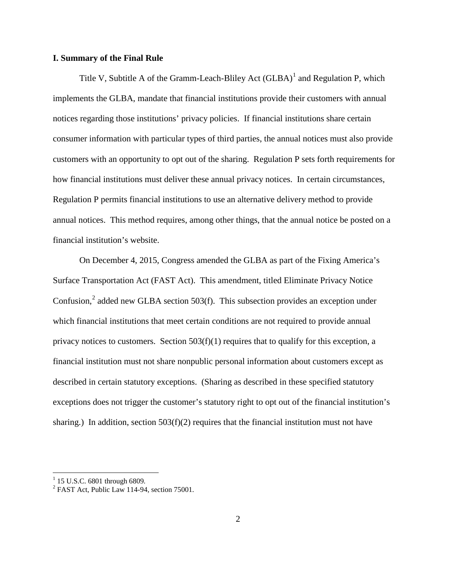# **I. Summary of the Final Rule**

Title V, Subtitle A of the Gramm-Leach-Bliley Act  $(GLBA)^1$  $(GLBA)^1$  and Regulation P, which implements the GLBA, mandate that financial institutions provide their customers with annual notices regarding those institutions' privacy policies. If financial institutions share certain consumer information with particular types of third parties, the annual notices must also provide customers with an opportunity to opt out of the sharing. Regulation P sets forth requirements for how financial institutions must deliver these annual privacy notices. In certain circumstances, Regulation P permits financial institutions to use an alternative delivery method to provide annual notices. This method requires, among other things, that the annual notice be posted on a financial institution's website.

On December 4, 2015, Congress amended the GLBA as part of the Fixing America's Surface Transportation Act (FAST Act). This amendment, titled Eliminate Privacy Notice Confusion, $<sup>2</sup>$  $<sup>2</sup>$  $<sup>2</sup>$  added new GLBA section 503(f). This subsection provides an exception under</sup> which financial institutions that meet certain conditions are not required to provide annual privacy notices to customers. Section  $503(f)(1)$  requires that to qualify for this exception, a financial institution must not share nonpublic personal information about customers except as described in certain statutory exceptions. (Sharing as described in these specified statutory exceptions does not trigger the customer's statutory right to opt out of the financial institution's sharing.) In addition, section  $503(f)(2)$  requires that the financial institution must not have

<span id="page-1-1"></span><span id="page-1-0"></span><sup>&</sup>lt;sup>1</sup> 15 U.S.C. 6801 through 6809.<br><sup>2</sup> FAST Act, Public Law 114-94, section 75001.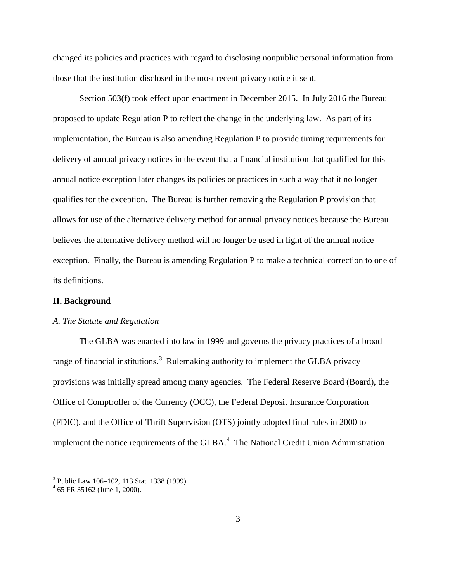changed its policies and practices with regard to disclosing nonpublic personal information from those that the institution disclosed in the most recent privacy notice it sent.

Section 503(f) took effect upon enactment in December 2015. In July 2016 the Bureau proposed to update Regulation P to reflect the change in the underlying law. As part of its implementation, the Bureau is also amending Regulation P to provide timing requirements for delivery of annual privacy notices in the event that a financial institution that qualified for this annual notice exception later changes its policies or practices in such a way that it no longer qualifies for the exception. The Bureau is further removing the Regulation P provision that allows for use of the alternative delivery method for annual privacy notices because the Bureau believes the alternative delivery method will no longer be used in light of the annual notice exception. Finally, the Bureau is amending Regulation P to make a technical correction to one of its definitions.

# **II. Background**

#### *A. The Statute and Regulation*

The GLBA was enacted into law in 1999 and governs the privacy practices of a broad range of financial institutions.<sup>[3](#page-2-0)</sup> Rulemaking authority to implement the GLBA privacy provisions was initially spread among many agencies. The Federal Reserve Board (Board), the Office of Comptroller of the Currency (OCC), the Federal Deposit Insurance Corporation (FDIC), and the Office of Thrift Supervision (OTS) jointly adopted final rules in 2000 to implement the notice requirements of the GLBA.<sup>[4](#page-2-1)</sup> The National Credit Union Administration

<span id="page-2-0"></span><sup>&</sup>lt;sup>3</sup> Public Law 106–102, 113 Stat. 1338 (1999).<br><sup>4</sup> 65 FR 35162 (June 1, 2000).

<span id="page-2-1"></span>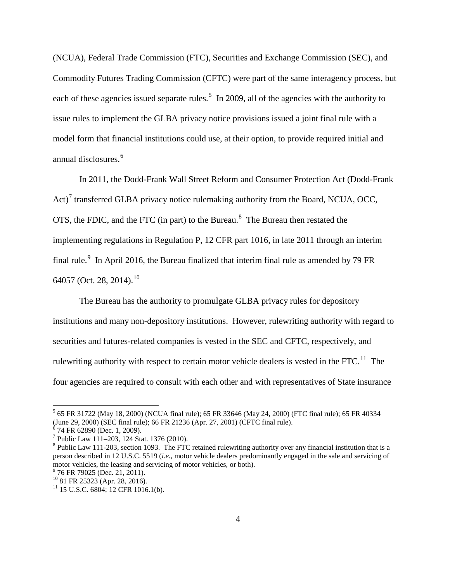(NCUA), Federal Trade Commission (FTC), Securities and Exchange Commission (SEC), and Commodity Futures Trading Commission (CFTC) were part of the same interagency process, but each of these agencies issued separate rules.<sup>[5](#page-3-0)</sup> In 2009, all of the agencies with the authority to issue rules to implement the GLBA privacy notice provisions issued a joint final rule with a model form that financial institutions could use, at their option, to provide required initial and annual disclosures. [6](#page-3-1)

In 2011, the Dodd-Frank Wall Street Reform and Consumer Protection Act (Dodd-Frank Act)<sup>[7](#page-3-2)</sup> transferred GLBA privacy notice rulemaking authority from the Board, NCUA, OCC, OTS, the FDIC, and the FTC (in part) to the Bureau. $8$  The Bureau then restated the implementing regulations in Regulation P, 12 CFR part 1016, in late 2011 through an interim final rule.<sup>[9](#page-3-4)</sup> In April 2016, the Bureau finalized that interim final rule as amended by 79 FR 64057 (Oct. 28, 2014).<sup>[10](#page-3-5)</sup>

The Bureau has the authority to promulgate GLBA privacy rules for depository institutions and many non-depository institutions. However, rulewriting authority with regard to securities and futures-related companies is vested in the SEC and CFTC, respectively, and rulewriting authority with respect to certain motor vehicle dealers is vested in the FTC.<sup>11</sup> The four agencies are required to consult with each other and with representatives of State insurance

<span id="page-3-0"></span> <sup>5</sup> 65 FR 31722 (May 18, 2000) (NCUA final rule); 65 FR 33646 (May 24, 2000) (FTC final rule); 65 FR 40334 (June 29, 2000) (SEC final rule); 66 FR 21236 (Apr. 27, 2001) (CFTC final rule).<br>
<sup>6</sup> 74 FR 62890 (Dec. 1, 2009).<br>
<sup>7</sup> Public Law 111–203, 124 Stat. 1376 (2010).

<span id="page-3-1"></span>

<span id="page-3-2"></span>

<span id="page-3-3"></span> $8$  Public Law 111-203, section 1093. The FTC retained rulewriting authority over any financial institution that is a person described in 12 U.S.C. 5519 (*i.e.*, motor vehicle dealers predominantly engaged in the sale and servicing of motor vehicles, the leasing and servicing of motor vehicles, or both).<br> $\frac{9}{76}$  FR 79025 (Dec. 21, 2011).<br> $\frac{10}{81}$  FR 25323 (Apr. 28, 2016).

<span id="page-3-5"></span><span id="page-3-4"></span>

<span id="page-3-6"></span> $11$  15 U.S.C. 6804; 12 CFR 1016.1(b).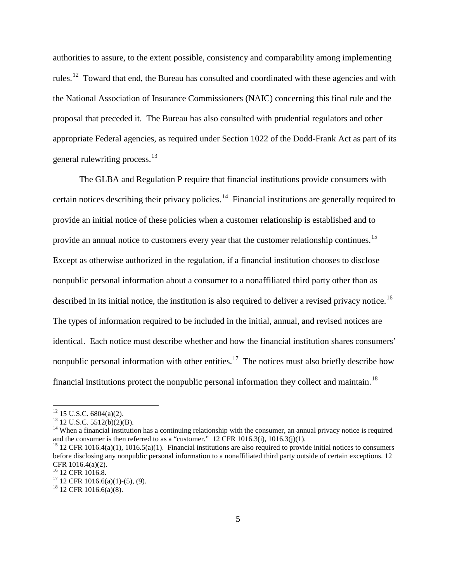authorities to assure, to the extent possible, consistency and comparability among implementing rules.<sup>[12](#page-4-0)</sup> Toward that end, the Bureau has consulted and coordinated with these agencies and with the National Association of Insurance Commissioners (NAIC) concerning this final rule and the proposal that preceded it. The Bureau has also consulted with prudential regulators and other appropriate Federal agencies, as required under Section 1022 of the Dodd-Frank Act as part of its general rulewriting process.<sup>[13](#page-4-1)</sup>

The GLBA and Regulation P require that financial institutions provide consumers with certain notices describing their privacy policies.<sup>14</sup> Financial institutions are generally required to provide an initial notice of these policies when a customer relationship is established and to provide an annual notice to customers every year that the customer relationship continues.<sup>[15](#page-4-3)</sup> Except as otherwise authorized in the regulation, if a financial institution chooses to disclose nonpublic personal information about a consumer to a nonaffiliated third party other than as described in its initial notice, the institution is also required to deliver a revised privacy notice.<sup>[16](#page-4-4)</sup> The types of information required to be included in the initial, annual, and revised notices are identical. Each notice must describe whether and how the financial institution shares consumers' nonpublic personal information with other entities.<sup>17</sup> The notices must also briefly describe how financial institutions protect the nonpublic personal information they collect and maintain.<sup>[18](#page-4-6)</sup>

<span id="page-4-2"></span><span id="page-4-1"></span>

<span id="page-4-0"></span><sup>&</sup>lt;sup>12</sup> 15 U.S.C. 6804(a)(2).<br><sup>13</sup> 12 U.S.C. 5512(b)(2)(B).<br><sup>14</sup> When a financial institution has a continuing relationship with the consumer, an annual privacy notice is required and the consumer is then referred to as a "customer." 12 CFR 1016.3(i), 1016.3(j)(1).<br><sup>15</sup> 12 CFR 1016.4(a)(1), 1016.5(a)(1). Financial institutions are also required to provide initial notices to consumers

<span id="page-4-3"></span>before disclosing any nonpublic personal information to a nonaffiliated third party outside of certain exceptions. 12 CFR 1016.4(a)(2).<br><sup>16</sup> 12 CFR 1016.8.

<span id="page-4-6"></span><span id="page-4-5"></span><span id="page-4-4"></span> $17^{17}$  12 CFR 1016.6(a)(1)-(5), (9).<br><sup>18</sup> 12 CFR 1016.6(a)(8).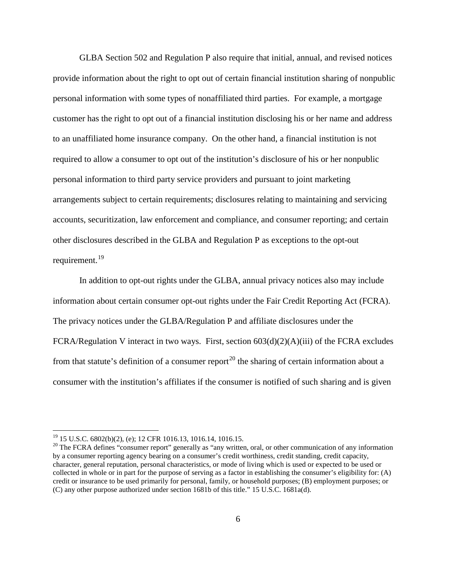GLBA Section 502 and Regulation P also require that initial, annual, and revised notices provide information about the right to opt out of certain financial institution sharing of nonpublic personal information with some types of nonaffiliated third parties. For example, a mortgage customer has the right to opt out of a financial institution disclosing his or her name and address to an unaffiliated home insurance company. On the other hand, a financial institution is not required to allow a consumer to opt out of the institution's disclosure of his or her nonpublic personal information to third party service providers and pursuant to joint marketing arrangements subject to certain requirements; disclosures relating to maintaining and servicing accounts, securitization, law enforcement and compliance, and consumer reporting; and certain other disclosures described in the GLBA and Regulation P as exceptions to the opt-out requirement.<sup>19</sup>

In addition to opt-out rights under the GLBA, annual privacy notices also may include information about certain consumer opt-out rights under the Fair Credit Reporting Act (FCRA). The privacy notices under the GLBA/Regulation P and affiliate disclosures under the FCRA/Regulation V interact in two ways. First, section 603(d)(2)(A)(iii) of the FCRA excludes from that statute's definition of a consumer report<sup>[20](#page-5-1)</sup> the sharing of certain information about a consumer with the institution's affiliates if the consumer is notified of such sharing and is given

<span id="page-5-1"></span><span id="page-5-0"></span><sup>&</sup>lt;sup>19</sup> 15 U.S.C. 6802(b)(2), (e); 12 CFR 1016.13, 1016.14, 1016.15.<br><sup>20</sup> The FCRA defines "consumer report" generally as "any written, oral, or other communication of any information by a consumer reporting agency bearing on a consumer's credit worthiness, credit standing, credit capacity, character, general reputation, personal characteristics, or mode of living which is used or expected to be used or collected in whole or in part for the purpose of serving as a factor in establishing the consumer's eligibility for: (A) credit or insurance to be used primarily for personal, family, or household purposes; (B) employment purposes; or (C) any other purpose authorized under section 1681b of this title." 15 U.S.C. 1681a(d).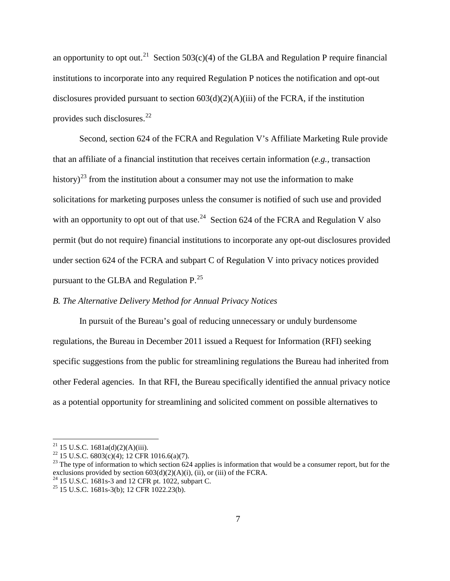an opportunity to opt out.<sup>21</sup> Section 503(c)(4) of the GLBA and Regulation P require financial institutions to incorporate into any required Regulation P notices the notification and opt-out disclosures provided pursuant to section  $603(d)(2)(A)(iii)$  of the FCRA, if the institution provides such disclosures.<sup>[22](#page-6-1)</sup>

Second, section 624 of the FCRA and Regulation V's Affiliate Marketing Rule provide that an affiliate of a financial institution that receives certain information (*e.g.,* transaction history)<sup>[23](#page-6-2)</sup> from the institution about a consumer may not use the information to make solicitations for marketing purposes unless the consumer is notified of such use and provided with an opportunity to opt out of that use.<sup>[24](#page-6-3)</sup> Section 624 of the FCRA and Regulation V also permit (but do not require) financial institutions to incorporate any opt-out disclosures provided under section 624 of the FCRA and subpart C of Regulation V into privacy notices provided pursuant to the GLBA and Regulation P.<sup>[25](#page-6-4)</sup>

# *B. The Alternative Delivery Method for Annual Privacy Notices*

In pursuit of the Bureau's goal of reducing unnecessary or unduly burdensome regulations, the Bureau in December 2011 issued a Request for Information (RFI) seeking specific suggestions from the public for streamlining regulations the Bureau had inherited from other Federal agencies. In that RFI, the Bureau specifically identified the annual privacy notice as a potential opportunity for streamlining and solicited comment on possible alternatives to

<span id="page-6-2"></span><span id="page-6-1"></span>

<span id="page-6-0"></span><sup>&</sup>lt;sup>21</sup> 15 U.S.C. 1681a(d)(2)(A)(iii).<br><sup>22</sup> 15 U.S.C. 6803(c)(4); 12 CFR 1016.6(a)(7).<br><sup>23</sup> The type of information to which section 624 applies is information that would be a consumer report, but for the exclusions provided by section  $603(d)(2)(A)(i)$ ,  $(iii)$ , or (iii) of the FCRA.

<span id="page-6-3"></span><sup>&</sup>lt;sup>24</sup> 15 U.S.C. 1681s-3 and 12 CFR pt. 1022, subpart C.<br><sup>25</sup> 15 U.S.C. 1681s-3(b); 12 CFR 1022.23(b).

<span id="page-6-4"></span>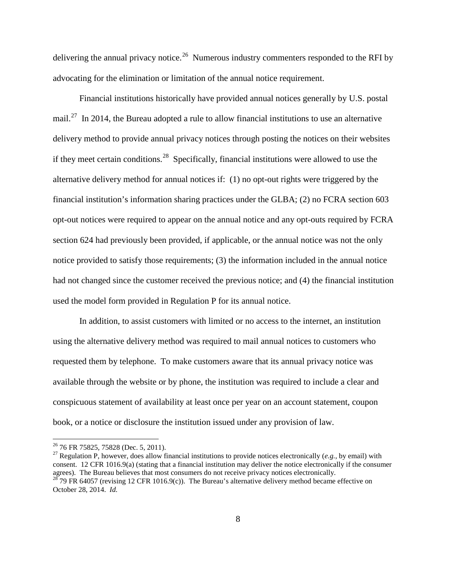delivering the annual privacy notice.<sup>[26](#page-7-0)</sup> Numerous industry commenters responded to the RFI by advocating for the elimination or limitation of the annual notice requirement.

Financial institutions historically have provided annual notices generally by U.S. postal mail.<sup>[27](#page-7-1)</sup> In 2014, the Bureau adopted a rule to allow financial institutions to use an alternative delivery method to provide annual privacy notices through posting the notices on their websites if they meet certain conditions.<sup>28</sup> Specifically, financial institutions were allowed to use the alternative delivery method for annual notices if: (1) no opt-out rights were triggered by the financial institution's information sharing practices under the GLBA; (2) no FCRA section 603 opt-out notices were required to appear on the annual notice and any opt-outs required by FCRA section 624 had previously been provided, if applicable, or the annual notice was not the only notice provided to satisfy those requirements; (3) the information included in the annual notice had not changed since the customer received the previous notice; and (4) the financial institution used the model form provided in Regulation P for its annual notice.

In addition, to assist customers with limited or no access to the internet, an institution using the alternative delivery method was required to mail annual notices to customers who requested them by telephone. To make customers aware that its annual privacy notice was available through the website or by phone, the institution was required to include a clear and conspicuous statement of availability at least once per year on an account statement, coupon book, or a notice or disclosure the institution issued under any provision of law.

<span id="page-7-2"></span>

<span id="page-7-1"></span><span id="page-7-0"></span><sup>26</sup> 76 FR 75825, 75828 (Dec. 5, 2011). <sup>27</sup> Regulation P, however, does allow financial institutions to provide notices electronically (*e.g.,* by email) with consent. 12 CFR 1016.9(a) (stating that a financial institution may deliver the notice electronically if the consumer agrees). The Bureau believes that most consumers do not receive privacy notices electronically. <sup>28</sup> 79 FR 64057 (revising 12 CFR 1016.9(c)). The Bureau's alternative delivery method became effective on October 28, 2014. *Id.*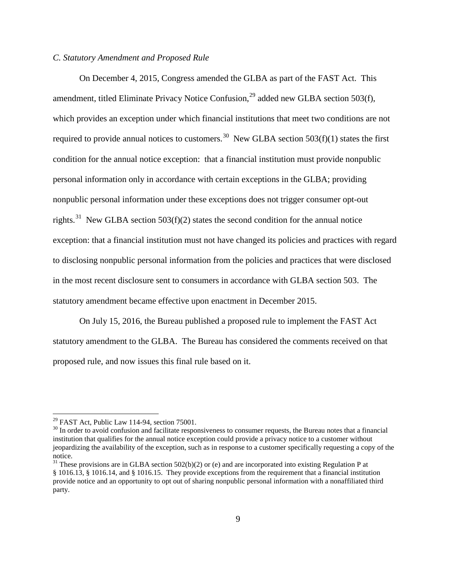# *C. Statutory Amendment and Proposed Rule*

On December 4, 2015, Congress amended the GLBA as part of the FAST Act. This amendment, titled Eliminate Privacy Notice Confusion,  $^{29}$  $^{29}$  $^{29}$  added new GLBA section 503(f), which provides an exception under which financial institutions that meet two conditions are not required to provide annual notices to customers.<sup>[30](#page-8-1)</sup> New GLBA section  $503(f)(1)$  states the first condition for the annual notice exception: that a financial institution must provide nonpublic personal information only in accordance with certain exceptions in the GLBA; providing nonpublic personal information under these exceptions does not trigger consumer opt-out rights.<sup>[31](#page-8-2)</sup> New GLBA section 503(f)(2) states the second condition for the annual notice exception: that a financial institution must not have changed its policies and practices with regard to disclosing nonpublic personal information from the policies and practices that were disclosed in the most recent disclosure sent to consumers in accordance with GLBA section 503. The statutory amendment became effective upon enactment in December 2015.

On July 15, 2016, the Bureau published a proposed rule to implement the FAST Act statutory amendment to the GLBA. The Bureau has considered the comments received on that proposed rule, and now issues this final rule based on it.

<span id="page-8-1"></span><span id="page-8-0"></span><sup>&</sup>lt;sup>29</sup> FAST Act, Public Law 114-94, section 75001.<br><sup>30</sup> In order to avoid confusion and facilitate responsiveness to consumer requests, the Bureau notes that a financial institution that qualifies for the annual notice exception could provide a privacy notice to a customer without jeopardizing the availability of the exception, such as in response to a customer specifically requesting a copy of the notice.

<span id="page-8-2"></span> $31$  These provisions are in GLBA section 502(b)(2) or (e) and are incorporated into existing Regulation P at § 1016.13, § 1016.14, and § 1016.15. They provide exceptions from the requirement that a financial institution provide notice and an opportunity to opt out of sharing nonpublic personal information with a nonaffiliated third party.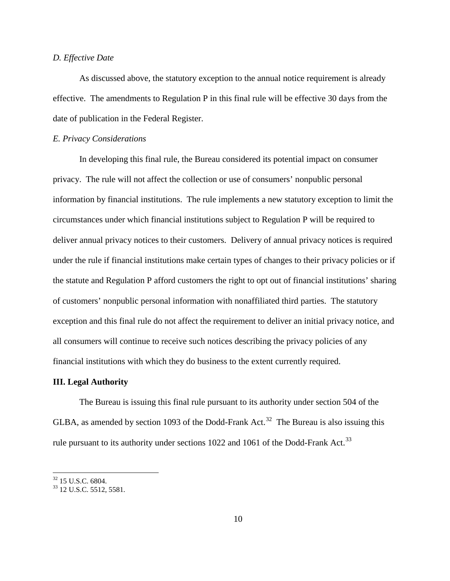# *D. Effective Date*

As discussed above, the statutory exception to the annual notice requirement is already effective. The amendments to Regulation P in this final rule will be effective 30 days from the date of publication in the Federal Register.

# *E. Privacy Considerations*

In developing this final rule, the Bureau considered its potential impact on consumer privacy. The rule will not affect the collection or use of consumers' nonpublic personal information by financial institutions. The rule implements a new statutory exception to limit the circumstances under which financial institutions subject to Regulation P will be required to deliver annual privacy notices to their customers. Delivery of annual privacy notices is required under the rule if financial institutions make certain types of changes to their privacy policies or if the statute and Regulation P afford customers the right to opt out of financial institutions' sharing of customers' nonpublic personal information with nonaffiliated third parties. The statutory exception and this final rule do not affect the requirement to deliver an initial privacy notice, and all consumers will continue to receive such notices describing the privacy policies of any financial institutions with which they do business to the extent currently required.

#### **III. Legal Authority**

The Bureau is issuing this final rule pursuant to its authority under section 504 of the GLBA, as amended by section 1093 of the Dodd-Frank Act.<sup>[32](#page-9-0)</sup> The Bureau is also issuing this rule pursuant to its authority under sections 1022 and 1061 of the Dodd-Frank Act.<sup>[33](#page-9-1)</sup>

<span id="page-9-1"></span><span id="page-9-0"></span> $\frac{32}{33}$  15 U.S.C. 6804.<br> $\frac{33}{12}$  U.S.C. 5512, 5581.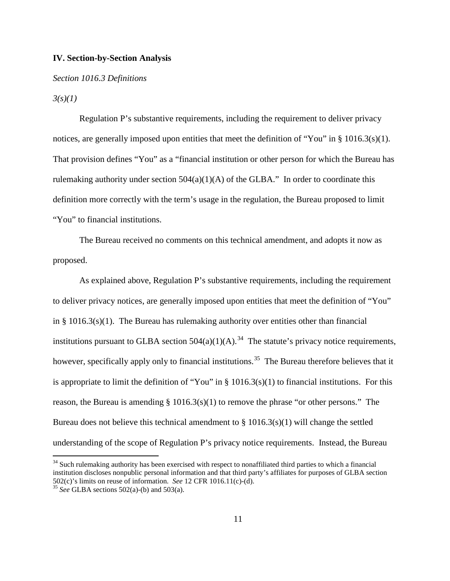# **IV. Section-by-Section Analysis**

# *Section 1016.3 Definitions*

#### *3(s)(1)*

Regulation P's substantive requirements, including the requirement to deliver privacy notices, are generally imposed upon entities that meet the definition of "You" in § 1016.3(s)(1). That provision defines "You" as a "financial institution or other person for which the Bureau has rulemaking authority under section  $504(a)(1)(A)$  of the GLBA." In order to coordinate this definition more correctly with the term's usage in the regulation, the Bureau proposed to limit "You" to financial institutions.

The Bureau received no comments on this technical amendment, and adopts it now as proposed.

As explained above, Regulation P's substantive requirements, including the requirement to deliver privacy notices, are generally imposed upon entities that meet the definition of "You" in § 1016.3(s)(1). The Bureau has rulemaking authority over entities other than financial institutions pursuant to GLBA section  $504(a)(1)(A)$ .<sup>[34](#page-10-0)</sup> The statute's privacy notice requirements, however, specifically apply only to financial institutions.<sup>[35](#page-10-1)</sup> The Bureau therefore believes that it is appropriate to limit the definition of "You" in  $\S 1016.3(s)(1)$  to financial institutions. For this reason, the Bureau is amending § 1016.3(s)(1) to remove the phrase "or other persons." The Bureau does not believe this technical amendment to  $\S 1016.3(s)(1)$  will change the settled understanding of the scope of Regulation P's privacy notice requirements. Instead, the Bureau

<span id="page-10-0"></span> $34$  Such rulemaking authority has been exercised with respect to nonaffiliated third parties to which a financial institution discloses nonpublic personal information and that third party's affiliates for purposes of GLBA section 502(c)'s limits on reuse of information. *See* 12 CFR 1016.11(c)-(d). <sup>35</sup> *See* GLBA sections 502(a)-(b) and 503(a).

<span id="page-10-1"></span>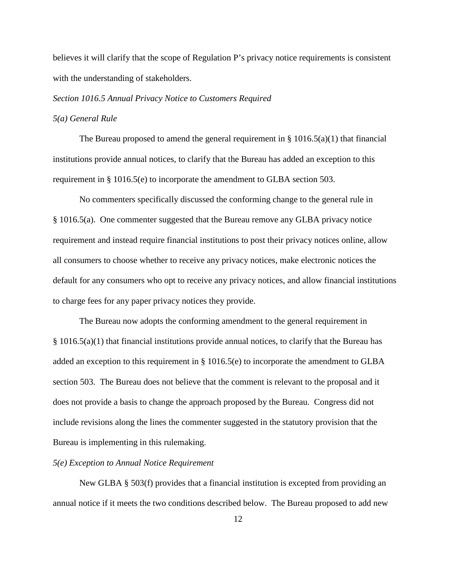believes it will clarify that the scope of Regulation P's privacy notice requirements is consistent with the understanding of stakeholders.

## *Section 1016.5 Annual Privacy Notice to Customers Required*

## *5(a) General Rule*

The Bureau proposed to amend the general requirement in § 1016.5(a)(1) that financial institutions provide annual notices, to clarify that the Bureau has added an exception to this requirement in § 1016.5(e) to incorporate the amendment to GLBA section 503.

No commenters specifically discussed the conforming change to the general rule in § 1016.5(a). One commenter suggested that the Bureau remove any GLBA privacy notice requirement and instead require financial institutions to post their privacy notices online, allow all consumers to choose whether to receive any privacy notices, make electronic notices the default for any consumers who opt to receive any privacy notices, and allow financial institutions to charge fees for any paper privacy notices they provide.

The Bureau now adopts the conforming amendment to the general requirement in § 1016.5(a)(1) that financial institutions provide annual notices, to clarify that the Bureau has added an exception to this requirement in § 1016.5(e) to incorporate the amendment to GLBA section 503. The Bureau does not believe that the comment is relevant to the proposal and it does not provide a basis to change the approach proposed by the Bureau. Congress did not include revisions along the lines the commenter suggested in the statutory provision that the Bureau is implementing in this rulemaking.

#### *5(e) Exception to Annual Notice Requirement*

New GLBA § 503(f) provides that a financial institution is excepted from providing an annual notice if it meets the two conditions described below. The Bureau proposed to add new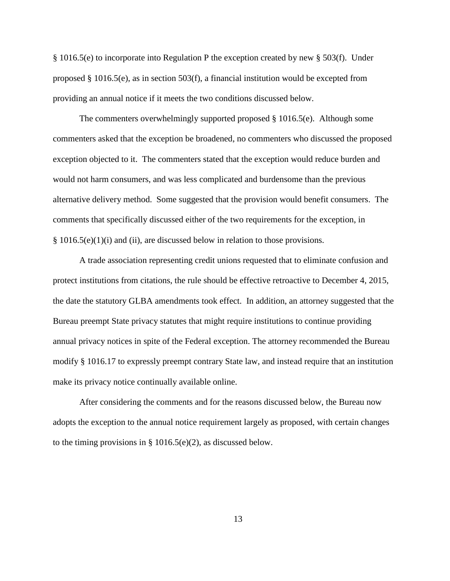§ 1016.5(e) to incorporate into Regulation P the exception created by new § 503(f). Under proposed § 1016.5(e), as in section 503(f), a financial institution would be excepted from providing an annual notice if it meets the two conditions discussed below.

The commenters overwhelmingly supported proposed  $\S$  1016.5(e). Although some commenters asked that the exception be broadened, no commenters who discussed the proposed exception objected to it. The commenters stated that the exception would reduce burden and would not harm consumers, and was less complicated and burdensome than the previous alternative delivery method. Some suggested that the provision would benefit consumers. The comments that specifically discussed either of the two requirements for the exception, in § 1016.5(e)(1)(i) and (ii), are discussed below in relation to those provisions.

A trade association representing credit unions requested that to eliminate confusion and protect institutions from citations, the rule should be effective retroactive to December 4, 2015, the date the statutory GLBA amendments took effect. In addition, an attorney suggested that the Bureau preempt State privacy statutes that might require institutions to continue providing annual privacy notices in spite of the Federal exception. The attorney recommended the Bureau modify § 1016.17 to expressly preempt contrary State law, and instead require that an institution make its privacy notice continually available online.

After considering the comments and for the reasons discussed below, the Bureau now adopts the exception to the annual notice requirement largely as proposed, with certain changes to the timing provisions in § 1016.5(e)(2), as discussed below.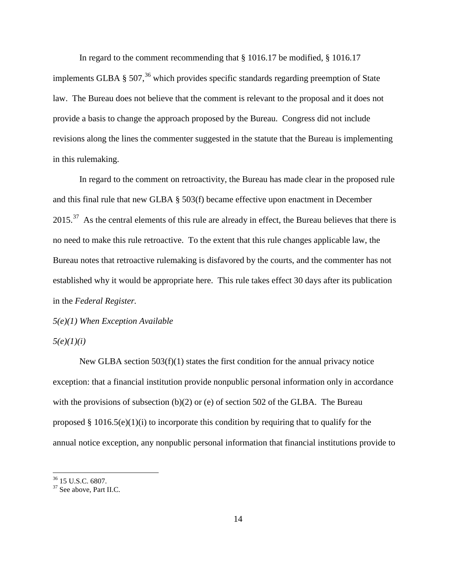In regard to the comment recommending that § 1016.17 be modified, § 1016.17 implements GLBA § 507, [36](#page-13-0) which provides specific standards regarding preemption of State law. The Bureau does not believe that the comment is relevant to the proposal and it does not provide a basis to change the approach proposed by the Bureau. Congress did not include revisions along the lines the commenter suggested in the statute that the Bureau is implementing in this rulemaking.

In regard to the comment on retroactivity, the Bureau has made clear in the proposed rule and this final rule that new GLBA § 503(f) became effective upon enactment in December  $2015.<sup>37</sup>$  $2015.<sup>37</sup>$  $2015.<sup>37</sup>$  As the central elements of this rule are already in effect, the Bureau believes that there is no need to make this rule retroactive. To the extent that this rule changes applicable law, the Bureau notes that retroactive rulemaking is disfavored by the courts, and the commenter has not established why it would be appropriate here. This rule takes effect 30 days after its publication in the *Federal Register.*

*5(e)(1) When Exception Available*

# *5(e)(1)(i)*

New GLBA section 503(f)(1) states the first condition for the annual privacy notice exception: that a financial institution provide nonpublic personal information only in accordance with the provisions of subsection  $(b)(2)$  or (e) of section 502 of the GLBA. The Bureau proposed  $\S 1016.5(e)(1)(i)$  to incorporate this condition by requiring that to qualify for the annual notice exception, any nonpublic personal information that financial institutions provide to

<span id="page-13-0"></span> $\frac{36}{37}$  15 U.S.C. 6807.<br> $\frac{37}{37}$  See above, Part II.C.

<span id="page-13-1"></span>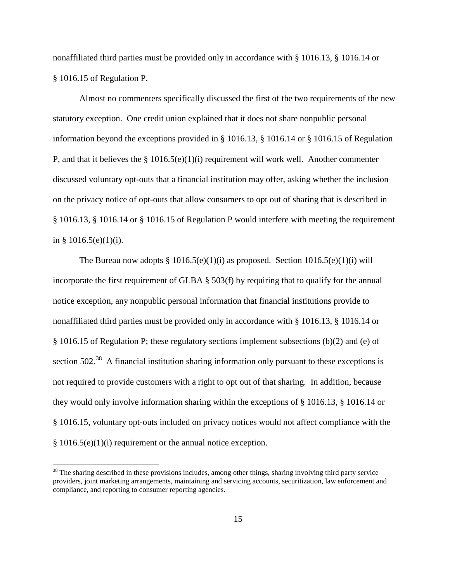nonaffiliated third parties must be provided only in accordance with § 1016.13, § 1016.14 or § 1016.15 of Regulation P.

Almost no commenters specifically discussed the first of the two requirements of the new statutory exception. One credit union explained that it does not share nonpublic personal information beyond the exceptions provided in § 1016.13, § 1016.14 or § 1016.15 of Regulation P, and that it believes the  $\S$  1016.5(e)(1)(i) requirement will work well. Another commenter discussed voluntary opt-outs that a financial institution may offer, asking whether the inclusion on the privacy notice of opt-outs that allow consumers to opt out of sharing that is described in § 1016.13, § 1016.14 or § 1016.15 of Regulation P would interfere with meeting the requirement in § 1016.5(e)(1)(i).

The Bureau now adopts  $\S 1016.5(e)(1)(i)$  as proposed. Section  $1016.5(e)(1)(i)$  will incorporate the first requirement of GLBA § 503(f) by requiring that to qualify for the annual notice exception, any nonpublic personal information that financial institutions provide to nonaffiliated third parties must be provided only in accordance with § 1016.13, § 1016.14 or § 1016.15 of Regulation P; these regulatory sections implement subsections (b)(2) and (e) of section  $502<sup>38</sup>$  A financial institution sharing information only pursuant to these exceptions is not required to provide customers with a right to opt out of that sharing. In addition, because they would only involve information sharing within the exceptions of § 1016.13, § 1016.14 or § 1016.15, voluntary opt-outs included on privacy notices would not affect compliance with the § 1016.5(e)(1)(i) requirement or the annual notice exception.

<span id="page-14-0"></span> $38$  The sharing described in these provisions includes, among other things, sharing involving third party service providers, joint marketing arrangements, maintaining and servicing accounts, securitization, law enforcement and compliance, and reporting to consumer reporting agencies.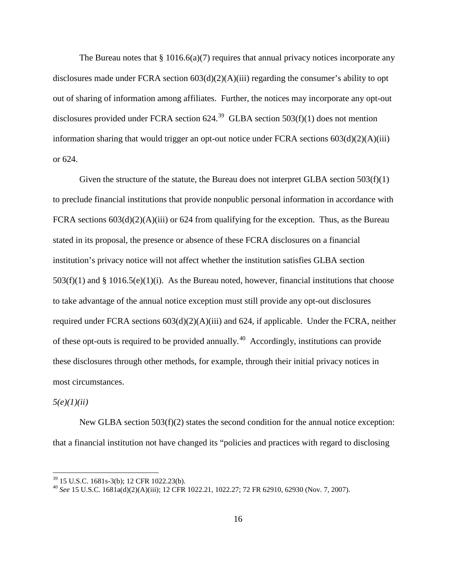The Bureau notes that  $\S 1016.6(a)(7)$  requires that annual privacy notices incorporate any disclosures made under FCRA section  $603(d)(2)(A)(iii)$  regarding the consumer's ability to opt out of sharing of information among affiliates. Further, the notices may incorporate any opt-out disclosures provided under FCRA section  $624.<sup>39</sup>$  $624.<sup>39</sup>$  $624.<sup>39</sup>$  GLBA section  $503(f)(1)$  does not mention information sharing that would trigger an opt-out notice under FCRA sections 603(d)(2)(A)(iii) or 624.

Given the structure of the statute, the Bureau does not interpret GLBA section  $503(f)(1)$ to preclude financial institutions that provide nonpublic personal information in accordance with FCRA sections  $603(d)(2)(A)(iii)$  or 624 from qualifying for the exception. Thus, as the Bureau stated in its proposal, the presence or absence of these FCRA disclosures on a financial institution's privacy notice will not affect whether the institution satisfies GLBA section  $503(f)(1)$  and §  $1016.5(e)(1)(i)$ . As the Bureau noted, however, financial institutions that choose to take advantage of the annual notice exception must still provide any opt-out disclosures required under FCRA sections 603(d)(2)(A)(iii) and 624, if applicable. Under the FCRA, neither of these opt-outs is required to be provided annually.[40](#page-15-1) Accordingly, institutions can provide these disclosures through other methods, for example, through their initial privacy notices in most circumstances.

*5(e)(1)(ii)*

New GLBA section 503(f)(2) states the second condition for the annual notice exception: that a financial institution not have changed its "policies and practices with regard to disclosing

<span id="page-15-1"></span><span id="page-15-0"></span><sup>&</sup>lt;sup>39</sup> 15 U.S.C. 1681s-3(b); 12 CFR 1022.23(b).<br><sup>40</sup> *See* 15 U.S.C. 1681a(d)(2)(A)(iii); 12 CFR 1022.21, 1022.27; 72 FR 62910, 62930 (Nov. 7, 2007).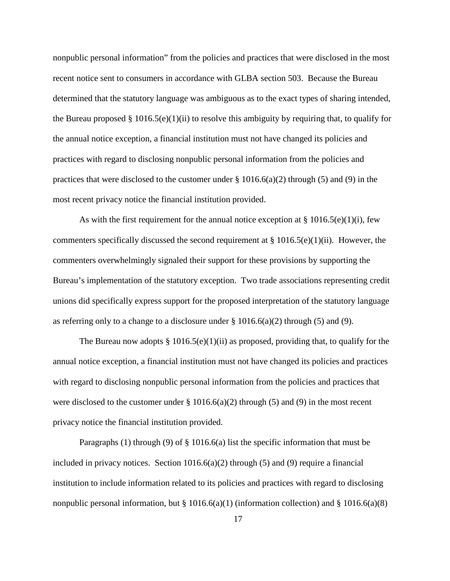nonpublic personal information" from the policies and practices that were disclosed in the most recent notice sent to consumers in accordance with GLBA section 503. Because the Bureau determined that the statutory language was ambiguous as to the exact types of sharing intended, the Bureau proposed  $\S 1016.5(e)(1)(ii)$  to resolve this ambiguity by requiring that, to qualify for the annual notice exception, a financial institution must not have changed its policies and practices with regard to disclosing nonpublic personal information from the policies and practices that were disclosed to the customer under  $\S 1016.6(a)(2)$  through (5) and (9) in the most recent privacy notice the financial institution provided.

As with the first requirement for the annual notice exception at  $\S 1016.5(e)(1)(i)$ , few commenters specifically discussed the second requirement at  $\S 1016.5(e)(1)(ii)$ . However, the commenters overwhelmingly signaled their support for these provisions by supporting the Bureau's implementation of the statutory exception. Two trade associations representing credit unions did specifically express support for the proposed interpretation of the statutory language as referring only to a change to a disclosure under  $\S$  1016.6(a)(2) through (5) and (9).

The Bureau now adopts § 1016.5(e)(1)(ii) as proposed, providing that, to qualify for the annual notice exception, a financial institution must not have changed its policies and practices with regard to disclosing nonpublic personal information from the policies and practices that were disclosed to the customer under  $\S 1016.6(a)(2)$  through (5) and (9) in the most recent privacy notice the financial institution provided.

Paragraphs (1) through (9) of  $\S$  1016.6(a) list the specific information that must be included in privacy notices. Section  $1016.6(a)(2)$  through (5) and (9) require a financial institution to include information related to its policies and practices with regard to disclosing nonpublic personal information, but  $\S 1016.6(a)(1)$  (information collection) and  $\S 1016.6(a)(8)$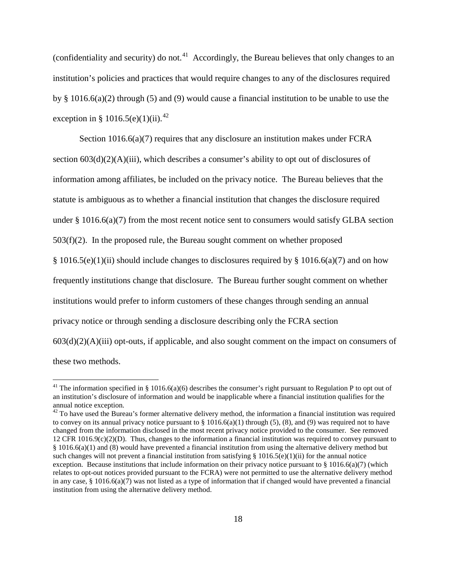(confidentiality and security) do not.<sup>[41](#page-17-0)</sup> Accordingly, the Bureau believes that only changes to an institution's policies and practices that would require changes to any of the disclosures required by § 1016.6(a)(2) through (5) and (9) would cause a financial institution to be unable to use the exception in § 1016.5(e)(1)(ii).<sup>42</sup>

Section 1016.6(a)(7) requires that any disclosure an institution makes under FCRA section  $603(d)(2)(A)(iii)$ , which describes a consumer's ability to opt out of disclosures of information among affiliates, be included on the privacy notice. The Bureau believes that the statute is ambiguous as to whether a financial institution that changes the disclosure required under  $\S 1016.6(a)$  (7) from the most recent notice sent to consumers would satisfy GLBA section  $503(f)(2)$ . In the proposed rule, the Bureau sought comment on whether proposed  $§ 1016.5(e)(1)(ii)$  should include changes to disclosures required by  $§ 1016.6(a)(7)$  and on how frequently institutions change that disclosure. The Bureau further sought comment on whether institutions would prefer to inform customers of these changes through sending an annual privacy notice or through sending a disclosure describing only the FCRA section  $603(d)(2)(A)(iii)$  opt-outs, if applicable, and also sought comment on the impact on consumers of these two methods.

<span id="page-17-0"></span><sup>&</sup>lt;sup>41</sup> The information specified in § 1016.6(a)(6) describes the consumer's right pursuant to Regulation P to opt out of an institution's disclosure of information and would be inapplicable where a financial institution qualifies for the annual notice exception.

<span id="page-17-1"></span> $42$  To have used the Bureau's former alternative delivery method, the information a financial institution was required to convey on its annual privacy notice pursuant to  $\S 1016.6(a)(1)$  through (5), (8), and (9) was required not to have changed from the information disclosed in the most recent privacy notice provided to the consumer. See removed 12 CFR 1016.9(c)(2)(D). Thus, changes to the information a financial institution was required to convey pursuant to § 1016.6(a)(1) and (8) would have prevented a financial institution from using the alternative delivery method but such changes will not prevent a financial institution from satisfying § 1016.5(e)(1)(ii) for the annual notice exception. Because institutions that include information on their privacy notice pursuant to § 1016.6(a)(7) (which relates to opt-out notices provided pursuant to the FCRA) were not permitted to use the alternative delivery method in any case,  $§$  1016.6(a)(7) was not listed as a type of information that if changed would have prevented a financial institution from using the alternative delivery method.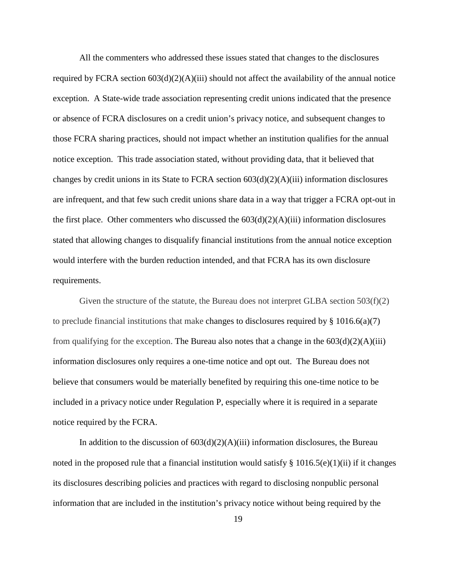All the commenters who addressed these issues stated that changes to the disclosures required by FCRA section  $603(d)(2)(A)(iii)$  should not affect the availability of the annual notice exception. A State-wide trade association representing credit unions indicated that the presence or absence of FCRA disclosures on a credit union's privacy notice, and subsequent changes to those FCRA sharing practices, should not impact whether an institution qualifies for the annual notice exception. This trade association stated, without providing data, that it believed that changes by credit unions in its State to FCRA section 603(d)(2)(A)(iii) information disclosures are infrequent, and that few such credit unions share data in a way that trigger a FCRA opt-out in the first place. Other commenters who discussed the  $603(d)(2)(A)(iii)$  information disclosures stated that allowing changes to disqualify financial institutions from the annual notice exception would interfere with the burden reduction intended, and that FCRA has its own disclosure requirements.

Given the structure of the statute, the Bureau does not interpret GLBA section 503(f)(2) to preclude financial institutions that make changes to disclosures required by  $\S 1016.6(a)(7)$ from qualifying for the exception. The Bureau also notes that a change in the  $603(d)(2)(A)(iii)$ information disclosures only requires a one-time notice and opt out. The Bureau does not believe that consumers would be materially benefited by requiring this one-time notice to be included in a privacy notice under Regulation P, especially where it is required in a separate notice required by the FCRA.

In addition to the discussion of  $603(d)(2)(A)(iii)$  information disclosures, the Bureau noted in the proposed rule that a financial institution would satisfy  $\S$  1016.5(e)(1)(ii) if it changes its disclosures describing policies and practices with regard to disclosing nonpublic personal information that are included in the institution's privacy notice without being required by the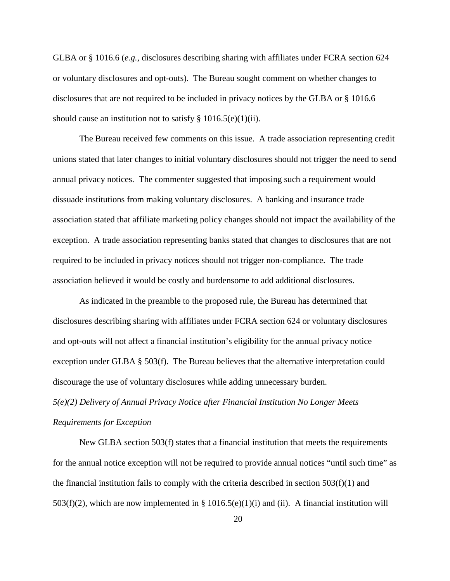GLBA or § 1016.6 (*e.g.*, disclosures describing sharing with affiliates under FCRA section 624 or voluntary disclosures and opt-outs). The Bureau sought comment on whether changes to disclosures that are not required to be included in privacy notices by the GLBA or § 1016.6 should cause an institution not to satisfy  $\S 1016.5(e)(1)(ii)$ .

The Bureau received few comments on this issue. A trade association representing credit unions stated that later changes to initial voluntary disclosures should not trigger the need to send annual privacy notices. The commenter suggested that imposing such a requirement would dissuade institutions from making voluntary disclosures. A banking and insurance trade association stated that affiliate marketing policy changes should not impact the availability of the exception. A trade association representing banks stated that changes to disclosures that are not required to be included in privacy notices should not trigger non-compliance. The trade association believed it would be costly and burdensome to add additional disclosures.

As indicated in the preamble to the proposed rule, the Bureau has determined that disclosures describing sharing with affiliates under FCRA section 624 or voluntary disclosures and opt-outs will not affect a financial institution's eligibility for the annual privacy notice exception under GLBA § 503(f). The Bureau believes that the alternative interpretation could discourage the use of voluntary disclosures while adding unnecessary burden. *5(e)(2) Delivery of Annual Privacy Notice after Financial Institution No Longer Meets Requirements for Exception*

New GLBA section 503(f) states that a financial institution that meets the requirements for the annual notice exception will not be required to provide annual notices "until such time" as the financial institution fails to comply with the criteria described in section  $503(f)(1)$  and 503(f)(2), which are now implemented in § 1016.5(e)(1)(i) and (ii). A financial institution will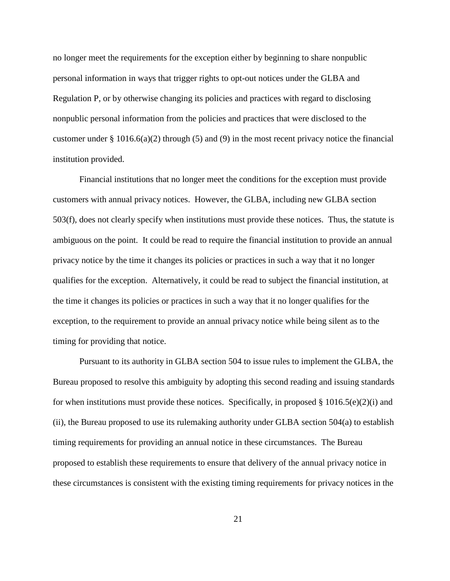no longer meet the requirements for the exception either by beginning to share nonpublic personal information in ways that trigger rights to opt-out notices under the GLBA and Regulation P, or by otherwise changing its policies and practices with regard to disclosing nonpublic personal information from the policies and practices that were disclosed to the customer under § 1016.6(a)(2) through (5) and (9) in the most recent privacy notice the financial institution provided.

Financial institutions that no longer meet the conditions for the exception must provide customers with annual privacy notices. However, the GLBA, including new GLBA section 503(f), does not clearly specify when institutions must provide these notices. Thus, the statute is ambiguous on the point. It could be read to require the financial institution to provide an annual privacy notice by the time it changes its policies or practices in such a way that it no longer qualifies for the exception. Alternatively, it could be read to subject the financial institution, at the time it changes its policies or practices in such a way that it no longer qualifies for the exception, to the requirement to provide an annual privacy notice while being silent as to the timing for providing that notice.

Pursuant to its authority in GLBA section 504 to issue rules to implement the GLBA, the Bureau proposed to resolve this ambiguity by adopting this second reading and issuing standards for when institutions must provide these notices. Specifically, in proposed  $\S 1016.5(e)(2)(i)$  and (ii), the Bureau proposed to use its rulemaking authority under GLBA section 504(a) to establish timing requirements for providing an annual notice in these circumstances. The Bureau proposed to establish these requirements to ensure that delivery of the annual privacy notice in these circumstances is consistent with the existing timing requirements for privacy notices in the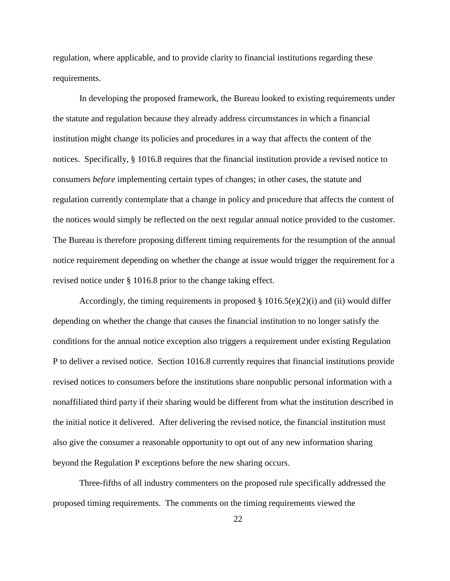regulation, where applicable, and to provide clarity to financial institutions regarding these requirements.

In developing the proposed framework, the Bureau looked to existing requirements under the statute and regulation because they already address circumstances in which a financial institution might change its policies and procedures in a way that affects the content of the notices. Specifically, § 1016.8 requires that the financial institution provide a revised notice to consumers *before* implementing certain types of changes; in other cases, the statute and regulation currently contemplate that a change in policy and procedure that affects the content of the notices would simply be reflected on the next regular annual notice provided to the customer. The Bureau is therefore proposing different timing requirements for the resumption of the annual notice requirement depending on whether the change at issue would trigger the requirement for a revised notice under § 1016.8 prior to the change taking effect.

Accordingly, the timing requirements in proposed  $\S 1016.5(e)(2)(i)$  and (ii) would differ depending on whether the change that causes the financial institution to no longer satisfy the conditions for the annual notice exception also triggers a requirement under existing Regulation P to deliver a revised notice. Section 1016.8 currently requires that financial institutions provide revised notices to consumers before the institutions share nonpublic personal information with a nonaffiliated third party if their sharing would be different from what the institution described in the initial notice it delivered. After delivering the revised notice, the financial institution must also give the consumer a reasonable opportunity to opt out of any new information sharing beyond the Regulation P exceptions before the new sharing occurs.

Three-fifths of all industry commenters on the proposed rule specifically addressed the proposed timing requirements. The comments on the timing requirements viewed the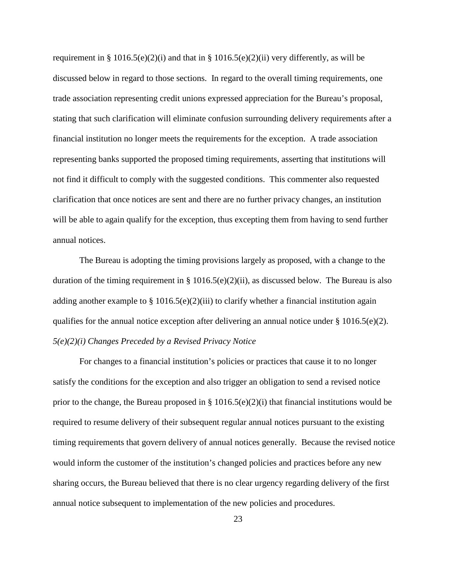requirement in § 1016.5(e)(2)(i) and that in § 1016.5(e)(2)(ii) very differently, as will be discussed below in regard to those sections. In regard to the overall timing requirements, one trade association representing credit unions expressed appreciation for the Bureau's proposal, stating that such clarification will eliminate confusion surrounding delivery requirements after a financial institution no longer meets the requirements for the exception. A trade association representing banks supported the proposed timing requirements, asserting that institutions will not find it difficult to comply with the suggested conditions. This commenter also requested clarification that once notices are sent and there are no further privacy changes, an institution will be able to again qualify for the exception, thus excepting them from having to send further annual notices.

The Bureau is adopting the timing provisions largely as proposed, with a change to the duration of the timing requirement in § 1016.5(e)(2)(ii), as discussed below. The Bureau is also adding another example to  $\S 1016.5(e)(2)(iii)$  to clarify whether a financial institution again qualifies for the annual notice exception after delivering an annual notice under  $\S 1016.5(e)(2)$ . *5(e)(2)(i) Changes Preceded by a Revised Privacy Notice*

For changes to a financial institution's policies or practices that cause it to no longer satisfy the conditions for the exception and also trigger an obligation to send a revised notice prior to the change, the Bureau proposed in  $\S 1016.5(e)(2)(i)$  that financial institutions would be required to resume delivery of their subsequent regular annual notices pursuant to the existing timing requirements that govern delivery of annual notices generally. Because the revised notice would inform the customer of the institution's changed policies and practices before any new sharing occurs, the Bureau believed that there is no clear urgency regarding delivery of the first annual notice subsequent to implementation of the new policies and procedures.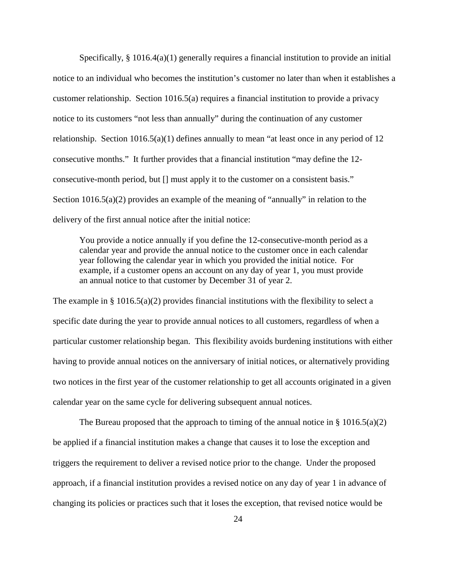Specifically,  $\S 1016.4(a)(1)$  generally requires a financial institution to provide an initial notice to an individual who becomes the institution's customer no later than when it establishes a customer relationship. Section 1016.5(a) requires a financial institution to provide a privacy notice to its customers "not less than annually" during the continuation of any customer relationship. Section  $1016.5(a)(1)$  defines annually to mean "at least once in any period of 12 consecutive months." It further provides that a financial institution "may define the 12 consecutive-month period, but [] must apply it to the customer on a consistent basis." Section  $1016.5(a)(2)$  provides an example of the meaning of "annually" in relation to the delivery of the first annual notice after the initial notice:

You provide a notice annually if you define the 12-consecutive-month period as a calendar year and provide the annual notice to the customer once in each calendar year following the calendar year in which you provided the initial notice. For example, if a customer opens an account on any day of year 1, you must provide an annual notice to that customer by December 31 of year 2.

The example in  $\S 1016.5(a)(2)$  provides financial institutions with the flexibility to select a specific date during the year to provide annual notices to all customers, regardless of when a particular customer relationship began. This flexibility avoids burdening institutions with either having to provide annual notices on the anniversary of initial notices, or alternatively providing two notices in the first year of the customer relationship to get all accounts originated in a given calendar year on the same cycle for delivering subsequent annual notices.

The Bureau proposed that the approach to timing of the annual notice in  $\S 1016.5(a)(2)$ be applied if a financial institution makes a change that causes it to lose the exception and triggers the requirement to deliver a revised notice prior to the change. Under the proposed approach, if a financial institution provides a revised notice on any day of year 1 in advance of changing its policies or practices such that it loses the exception, that revised notice would be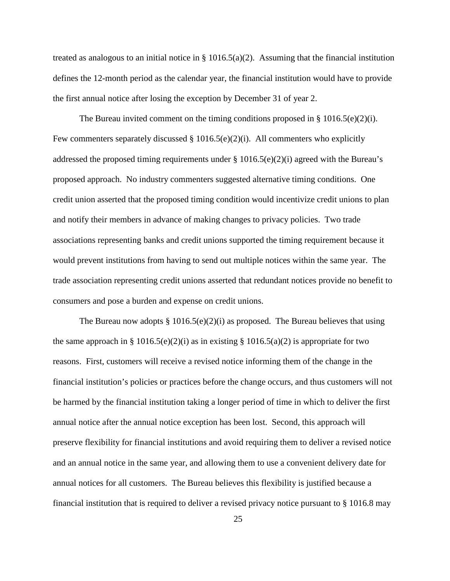treated as analogous to an initial notice in  $\S$  1016.5(a)(2). Assuming that the financial institution defines the 12-month period as the calendar year, the financial institution would have to provide the first annual notice after losing the exception by December 31 of year 2.

The Bureau invited comment on the timing conditions proposed in  $\S 1016.5(e)(2)(i)$ . Few commenters separately discussed  $\S$  1016.5(e)(2)(i). All commenters who explicitly addressed the proposed timing requirements under § 1016.5(e)(2)(i) agreed with the Bureau's proposed approach. No industry commenters suggested alternative timing conditions. One credit union asserted that the proposed timing condition would incentivize credit unions to plan and notify their members in advance of making changes to privacy policies. Two trade associations representing banks and credit unions supported the timing requirement because it would prevent institutions from having to send out multiple notices within the same year. The trade association representing credit unions asserted that redundant notices provide no benefit to consumers and pose a burden and expense on credit unions.

The Bureau now adopts § 1016.5(e)(2)(i) as proposed. The Bureau believes that using the same approach in § 1016.5(e)(2)(i) as in existing § 1016.5(a)(2) is appropriate for two reasons. First, customers will receive a revised notice informing them of the change in the financial institution's policies or practices before the change occurs, and thus customers will not be harmed by the financial institution taking a longer period of time in which to deliver the first annual notice after the annual notice exception has been lost. Second, this approach will preserve flexibility for financial institutions and avoid requiring them to deliver a revised notice and an annual notice in the same year, and allowing them to use a convenient delivery date for annual notices for all customers. The Bureau believes this flexibility is justified because a financial institution that is required to deliver a revised privacy notice pursuant to § 1016.8 may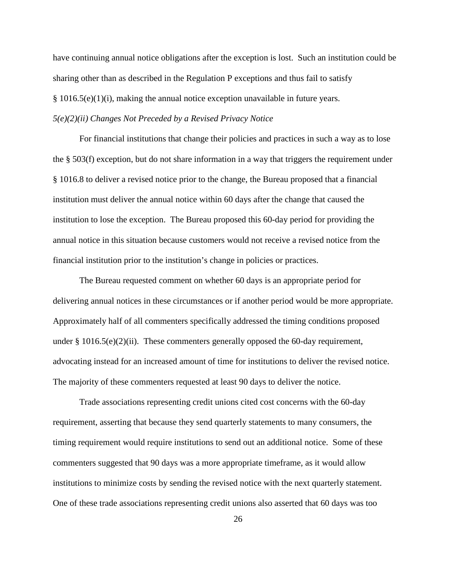have continuing annual notice obligations after the exception is lost. Such an institution could be sharing other than as described in the Regulation P exceptions and thus fail to satisfy  $§ 1016.5(e)(1)(i)$ , making the annual notice exception unavailable in future years. *5(e)(2)(ii) Changes Not Preceded by a Revised Privacy Notice*

For financial institutions that change their policies and practices in such a way as to lose the § 503(f) exception, but do not share information in a way that triggers the requirement under § 1016.8 to deliver a revised notice prior to the change, the Bureau proposed that a financial institution must deliver the annual notice within 60 days after the change that caused the institution to lose the exception. The Bureau proposed this 60-day period for providing the annual notice in this situation because customers would not receive a revised notice from the financial institution prior to the institution's change in policies or practices.

The Bureau requested comment on whether 60 days is an appropriate period for delivering annual notices in these circumstances or if another period would be more appropriate. Approximately half of all commenters specifically addressed the timing conditions proposed under § 1016.5(e)(2)(ii). These commenters generally opposed the 60-day requirement, advocating instead for an increased amount of time for institutions to deliver the revised notice. The majority of these commenters requested at least 90 days to deliver the notice.

Trade associations representing credit unions cited cost concerns with the 60-day requirement, asserting that because they send quarterly statements to many consumers, the timing requirement would require institutions to send out an additional notice. Some of these commenters suggested that 90 days was a more appropriate timeframe, as it would allow institutions to minimize costs by sending the revised notice with the next quarterly statement. One of these trade associations representing credit unions also asserted that 60 days was too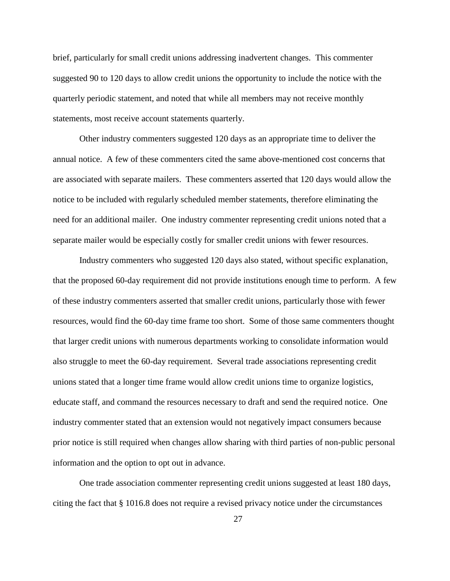brief, particularly for small credit unions addressing inadvertent changes. This commenter suggested 90 to 120 days to allow credit unions the opportunity to include the notice with the quarterly periodic statement, and noted that while all members may not receive monthly statements, most receive account statements quarterly.

Other industry commenters suggested 120 days as an appropriate time to deliver the annual notice. A few of these commenters cited the same above-mentioned cost concerns that are associated with separate mailers. These commenters asserted that 120 days would allow the notice to be included with regularly scheduled member statements, therefore eliminating the need for an additional mailer. One industry commenter representing credit unions noted that a separate mailer would be especially costly for smaller credit unions with fewer resources.

Industry commenters who suggested 120 days also stated, without specific explanation, that the proposed 60-day requirement did not provide institutions enough time to perform. A few of these industry commenters asserted that smaller credit unions, particularly those with fewer resources, would find the 60-day time frame too short. Some of those same commenters thought that larger credit unions with numerous departments working to consolidate information would also struggle to meet the 60-day requirement. Several trade associations representing credit unions stated that a longer time frame would allow credit unions time to organize logistics, educate staff, and command the resources necessary to draft and send the required notice. One industry commenter stated that an extension would not negatively impact consumers because prior notice is still required when changes allow sharing with third parties of non-public personal information and the option to opt out in advance.

One trade association commenter representing credit unions suggested at least 180 days, citing the fact that § 1016.8 does not require a revised privacy notice under the circumstances

27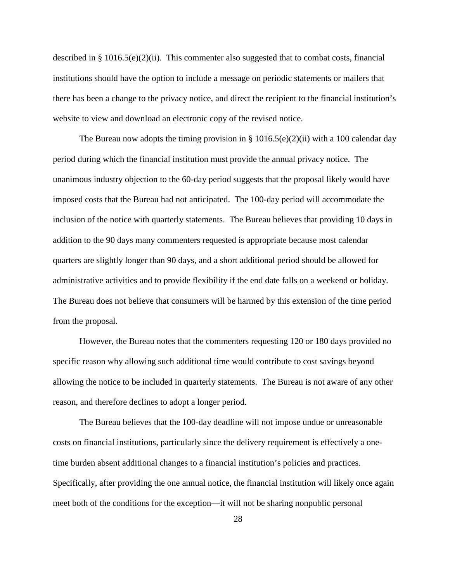described in § 1016.5(e)(2)(ii). This commenter also suggested that to combat costs, financial institutions should have the option to include a message on periodic statements or mailers that there has been a change to the privacy notice, and direct the recipient to the financial institution's website to view and download an electronic copy of the revised notice.

The Bureau now adopts the timing provision in §  $1016.5(e)(2)(ii)$  with a 100 calendar day period during which the financial institution must provide the annual privacy notice. The unanimous industry objection to the 60-day period suggests that the proposal likely would have imposed costs that the Bureau had not anticipated. The 100-day period will accommodate the inclusion of the notice with quarterly statements. The Bureau believes that providing 10 days in addition to the 90 days many commenters requested is appropriate because most calendar quarters are slightly longer than 90 days, and a short additional period should be allowed for administrative activities and to provide flexibility if the end date falls on a weekend or holiday. The Bureau does not believe that consumers will be harmed by this extension of the time period from the proposal.

However, the Bureau notes that the commenters requesting 120 or 180 days provided no specific reason why allowing such additional time would contribute to cost savings beyond allowing the notice to be included in quarterly statements. The Bureau is not aware of any other reason, and therefore declines to adopt a longer period.

The Bureau believes that the 100-day deadline will not impose undue or unreasonable costs on financial institutions, particularly since the delivery requirement is effectively a onetime burden absent additional changes to a financial institution's policies and practices. Specifically, after providing the one annual notice, the financial institution will likely once again meet both of the conditions for the exception—it will not be sharing nonpublic personal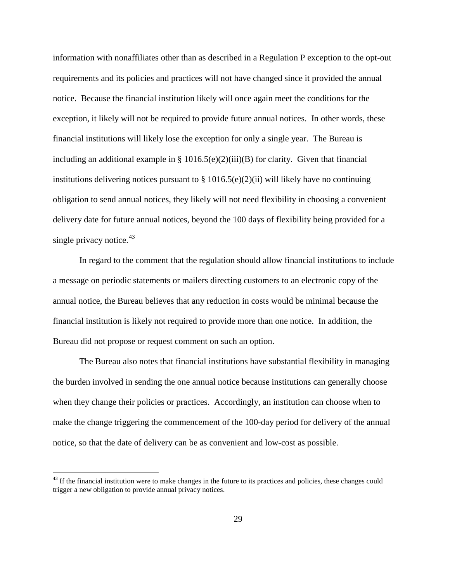information with nonaffiliates other than as described in a Regulation P exception to the opt-out requirements and its policies and practices will not have changed since it provided the annual notice. Because the financial institution likely will once again meet the conditions for the exception, it likely will not be required to provide future annual notices. In other words, these financial institutions will likely lose the exception for only a single year. The Bureau is including an additional example in §  $1016.5(e)(2)(iii)(B)$  for clarity. Given that financial institutions delivering notices pursuant to  $\S 1016.5(e)(2)(ii)$  will likely have no continuing obligation to send annual notices, they likely will not need flexibility in choosing a convenient delivery date for future annual notices, beyond the 100 days of flexibility being provided for a single privacy notice.<sup>43</sup>

In regard to the comment that the regulation should allow financial institutions to include a message on periodic statements or mailers directing customers to an electronic copy of the annual notice, the Bureau believes that any reduction in costs would be minimal because the financial institution is likely not required to provide more than one notice. In addition, the Bureau did not propose or request comment on such an option.

The Bureau also notes that financial institutions have substantial flexibility in managing the burden involved in sending the one annual notice because institutions can generally choose when they change their policies or practices. Accordingly, an institution can choose when to make the change triggering the commencement of the 100-day period for delivery of the annual notice, so that the date of delivery can be as convenient and low-cost as possible.

<span id="page-28-0"></span><sup>&</sup>lt;sup>43</sup> If the financial institution were to make changes in the future to its practices and policies, these changes could trigger a new obligation to provide annual privacy notices.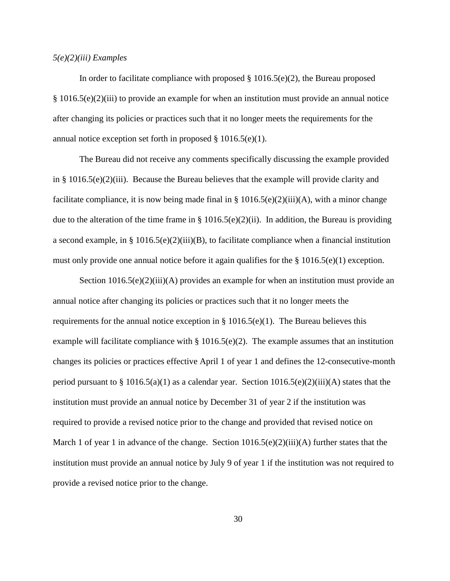#### *5(e)(2)(iii) Examples*

In order to facilitate compliance with proposed  $\S 1016.5(e)(2)$ , the Bureau proposed § 1016.5(e)(2)(iii) to provide an example for when an institution must provide an annual notice after changing its policies or practices such that it no longer meets the requirements for the annual notice exception set forth in proposed  $\S 1016.5(e)(1)$ .

The Bureau did not receive any comments specifically discussing the example provided in § 1016.5(e)(2)(iii). Because the Bureau believes that the example will provide clarity and facilitate compliance, it is now being made final in  $\S 1016.5(e)(2)(iii)(A)$ , with a minor change due to the alteration of the time frame in § 1016.5(e)(2)(ii). In addition, the Bureau is providing a second example, in § 1016.5(e)(2)(iii)(B), to facilitate compliance when a financial institution must only provide one annual notice before it again qualifies for the § 1016.5(e)(1) exception.

Section  $1016.5(e)(2)(iii)(A)$  provides an example for when an institution must provide an annual notice after changing its policies or practices such that it no longer meets the requirements for the annual notice exception in  $\S$  1016.5(e)(1). The Bureau believes this example will facilitate compliance with  $\S 1016.5(e)(2)$ . The example assumes that an institution changes its policies or practices effective April 1 of year 1 and defines the 12-consecutive-month period pursuant to § 1016.5(a)(1) as a calendar year. Section 1016.5(e)(2)(iii)(A) states that the institution must provide an annual notice by December 31 of year 2 if the institution was required to provide a revised notice prior to the change and provided that revised notice on March 1 of year 1 in advance of the change. Section  $1016.5(e)(2)(iii)(A)$  further states that the institution must provide an annual notice by July 9 of year 1 if the institution was not required to provide a revised notice prior to the change.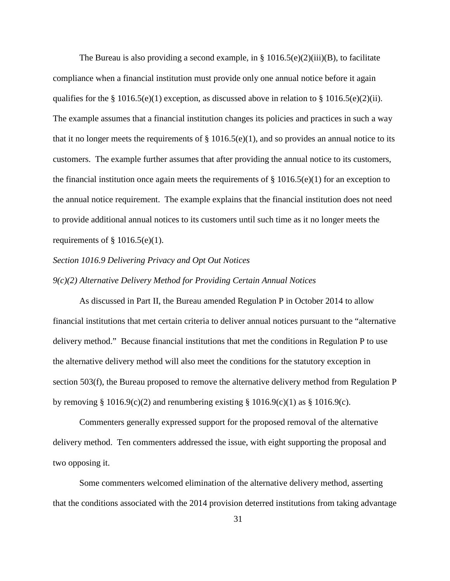The Bureau is also providing a second example, in  $\S$  1016.5(e)(2)(iii)(B), to facilitate compliance when a financial institution must provide only one annual notice before it again qualifies for the § 1016.5(e)(1) exception, as discussed above in relation to § 1016.5(e)(2)(ii). The example assumes that a financial institution changes its policies and practices in such a way that it no longer meets the requirements of  $\S$  1016.5(e)(1), and so provides an annual notice to its customers. The example further assumes that after providing the annual notice to its customers, the financial institution once again meets the requirements of  $\S 1016.5(e)(1)$  for an exception to the annual notice requirement. The example explains that the financial institution does not need to provide additional annual notices to its customers until such time as it no longer meets the requirements of  $\S$  1016.5(e)(1).

#### *Section 1016.9 Delivering Privacy and Opt Out Notices*

# *9(c)(2) Alternative Delivery Method for Providing Certain Annual Notices*

As discussed in Part II, the Bureau amended Regulation P in October 2014 to allow financial institutions that met certain criteria to deliver annual notices pursuant to the "alternative delivery method." Because financial institutions that met the conditions in Regulation P to use the alternative delivery method will also meet the conditions for the statutory exception in section 503(f), the Bureau proposed to remove the alternative delivery method from Regulation P by removing § 1016.9(c)(2) and renumbering existing § 1016.9(c)(1) as § 1016.9(c).

Commenters generally expressed support for the proposed removal of the alternative delivery method. Ten commenters addressed the issue, with eight supporting the proposal and two opposing it.

Some commenters welcomed elimination of the alternative delivery method, asserting that the conditions associated with the 2014 provision deterred institutions from taking advantage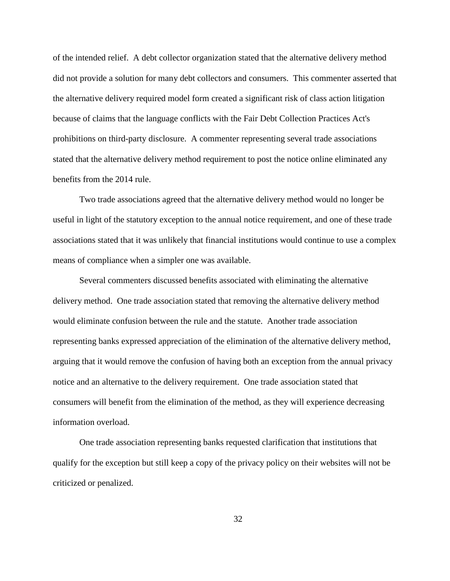of the intended relief. A debt collector organization stated that the alternative delivery method did not provide a solution for many debt collectors and consumers. This commenter asserted that the alternative delivery required model form created a significant risk of class action litigation because of claims that the language conflicts with the Fair Debt Collection Practices Act's prohibitions on third-party disclosure. A commenter representing several trade associations stated that the alternative delivery method requirement to post the notice online eliminated any benefits from the 2014 rule.

Two trade associations agreed that the alternative delivery method would no longer be useful in light of the statutory exception to the annual notice requirement, and one of these trade associations stated that it was unlikely that financial institutions would continue to use a complex means of compliance when a simpler one was available.

Several commenters discussed benefits associated with eliminating the alternative delivery method. One trade association stated that removing the alternative delivery method would eliminate confusion between the rule and the statute. Another trade association representing banks expressed appreciation of the elimination of the alternative delivery method, arguing that it would remove the confusion of having both an exception from the annual privacy notice and an alternative to the delivery requirement. One trade association stated that consumers will benefit from the elimination of the method, as they will experience decreasing information overload.

One trade association representing banks requested clarification that institutions that qualify for the exception but still keep a copy of the privacy policy on their websites will not be criticized or penalized.

32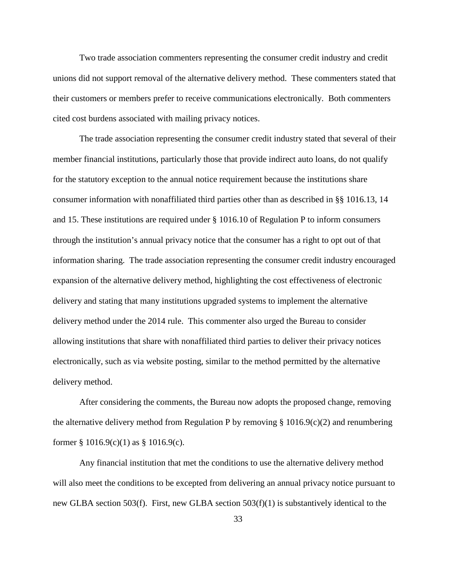Two trade association commenters representing the consumer credit industry and credit unions did not support removal of the alternative delivery method. These commenters stated that their customers or members prefer to receive communications electronically. Both commenters cited cost burdens associated with mailing privacy notices.

The trade association representing the consumer credit industry stated that several of their member financial institutions, particularly those that provide indirect auto loans, do not qualify for the statutory exception to the annual notice requirement because the institutions share consumer information with nonaffiliated third parties other than as described in §§ 1016.13, 14 and 15. These institutions are required under § 1016.10 of Regulation P to inform consumers through the institution's annual privacy notice that the consumer has a right to opt out of that information sharing. The trade association representing the consumer credit industry encouraged expansion of the alternative delivery method, highlighting the cost effectiveness of electronic delivery and stating that many institutions upgraded systems to implement the alternative delivery method under the 2014 rule. This commenter also urged the Bureau to consider allowing institutions that share with nonaffiliated third parties to deliver their privacy notices electronically, such as via website posting, similar to the method permitted by the alternative delivery method.

After considering the comments, the Bureau now adopts the proposed change, removing the alternative delivery method from Regulation P by removing  $\S$  1016.9(c)(2) and renumbering former  $\S 1016.9(c)(1)$  as  $\S 1016.9(c)$ .

Any financial institution that met the conditions to use the alternative delivery method will also meet the conditions to be excepted from delivering an annual privacy notice pursuant to new GLBA section 503(f). First, new GLBA section 503(f)(1) is substantively identical to the

33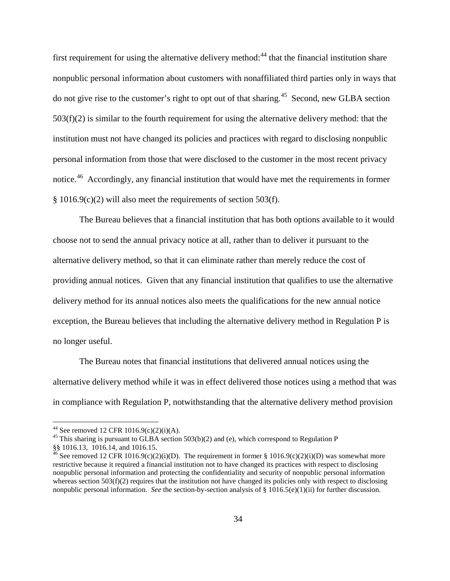first requirement for using the alternative delivery method:<sup>[44](#page-33-0)</sup> that the financial institution share nonpublic personal information about customers with nonaffiliated third parties only in ways that do not give rise to the customer's right to opt out of that sharing.<sup>45</sup> Second, new GLBA section  $503(f)(2)$  is similar to the fourth requirement for using the alternative delivery method: that the institution must not have changed its policies and practices with regard to disclosing nonpublic personal information from those that were disclosed to the customer in the most recent privacy notice.<sup>[46](#page-33-2)</sup> Accordingly, any financial institution that would have met the requirements in former § 1016.9(c)(2) will also meet the requirements of section 503(f).

The Bureau believes that a financial institution that has both options available to it would choose not to send the annual privacy notice at all, rather than to deliver it pursuant to the alternative delivery method, so that it can eliminate rather than merely reduce the cost of providing annual notices. Given that any financial institution that qualifies to use the alternative delivery method for its annual notices also meets the qualifications for the new annual notice exception, the Bureau believes that including the alternative delivery method in Regulation P is no longer useful.

The Bureau notes that financial institutions that delivered annual notices using the alternative delivery method while it was in effect delivered those notices using a method that was in compliance with Regulation P, notwithstanding that the alternative delivery method provision

<span id="page-33-1"></span><span id="page-33-0"></span><sup>&</sup>lt;sup>44</sup> See removed 12 CFR 1016.9(c)(2)(i)(A).<br><sup>45</sup> This sharing is pursuant to GLBA section 503(b)(2) and (e), which correspond to Regulation P<br>§§ 1016.13, 1016.14, and 1016.15.

<span id="page-33-2"></span><sup>§§</sup> See removed 12 CFR 1016.9(c)(2)(i)(D). The requirement in former § 1016.9(c)(2)(i)(D) was somewhat more restrictive because it required a financial institution not to have changed its practices with respect to disclosing nonpublic personal information and protecting the confidentiality and security of nonpublic personal information whereas section  $503(f)(2)$  requires that the institution not have changed its policies only with respect to disclosing nonpublic personal information. *See* the section-by-section analysis of § 1016.5(e)(1)(ii) for further discussion.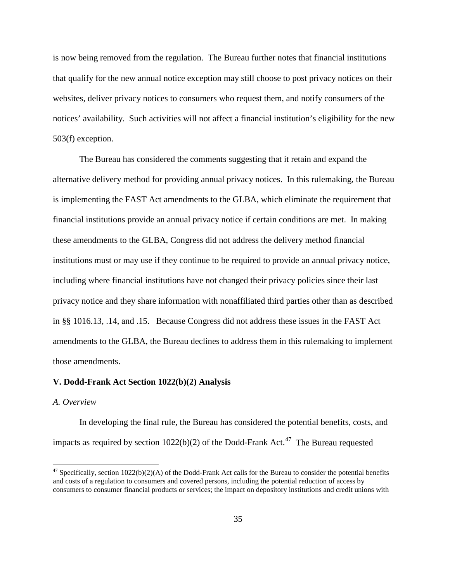is now being removed from the regulation. The Bureau further notes that financial institutions that qualify for the new annual notice exception may still choose to post privacy notices on their websites, deliver privacy notices to consumers who request them, and notify consumers of the notices' availability. Such activities will not affect a financial institution's eligibility for the new 503(f) exception.

The Bureau has considered the comments suggesting that it retain and expand the alternative delivery method for providing annual privacy notices. In this rulemaking, the Bureau is implementing the FAST Act amendments to the GLBA, which eliminate the requirement that financial institutions provide an annual privacy notice if certain conditions are met. In making these amendments to the GLBA, Congress did not address the delivery method financial institutions must or may use if they continue to be required to provide an annual privacy notice, including where financial institutions have not changed their privacy policies since their last privacy notice and they share information with nonaffiliated third parties other than as described in §§ 1016.13, .14, and .15. Because Congress did not address these issues in the FAST Act amendments to the GLBA, the Bureau declines to address them in this rulemaking to implement those amendments.

#### **V. Dodd-Frank Act Section 1022(b)(2) Analysis**

#### *A. Overview*

In developing the final rule, the Bureau has considered the potential benefits, costs, and impacts as required by section  $1022(b)(2)$  of the Dodd-Frank Act.<sup>47</sup> The Bureau requested

<span id="page-34-0"></span> $47$  Specifically, section 1022(b)(2)(A) of the Dodd-Frank Act calls for the Bureau to consider the potential benefits and costs of a regulation to consumers and covered persons, including the potential reduction of access by consumers to consumer financial products or services; the impact on depository institutions and credit unions with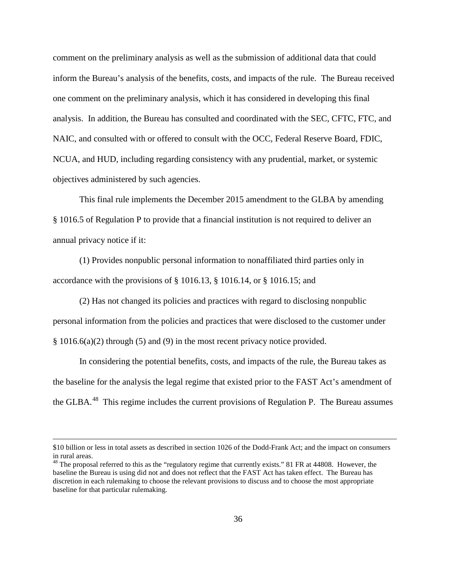comment on the preliminary analysis as well as the submission of additional data that could inform the Bureau's analysis of the benefits, costs, and impacts of the rule. The Bureau received one comment on the preliminary analysis, which it has considered in developing this final analysis. In addition, the Bureau has consulted and coordinated with the SEC, CFTC, FTC, and NAIC, and consulted with or offered to consult with the OCC, Federal Reserve Board, FDIC, NCUA, and HUD, including regarding consistency with any prudential, market, or systemic objectives administered by such agencies.

This final rule implements the December 2015 amendment to the GLBA by amending § 1016.5 of Regulation P to provide that a financial institution is not required to deliver an annual privacy notice if it:

(1) Provides nonpublic personal information to nonaffiliated third parties only in accordance with the provisions of § 1016.13, § 1016.14, or § 1016.15; and

(2) Has not changed its policies and practices with regard to disclosing nonpublic personal information from the policies and practices that were disclosed to the customer under § 1016.6(a)(2) through (5) and (9) in the most recent privacy notice provided.

In considering the potential benefits, costs, and impacts of the rule, the Bureau takes as the baseline for the analysis the legal regime that existed prior to the FAST Act's amendment of the GLBA.<sup>[48](#page-35-0)</sup> This regime includes the current provisions of Regulation P. The Bureau assumes

 $\overline{a}$ 

<sup>\$10</sup> billion or less in total assets as described in section 1026 of the Dodd-Frank Act; and the impact on consumers in rural areas.

<span id="page-35-0"></span> $48$  The proposal referred to this as the "regulatory regime that currently exists." 81 FR at 44808. However, the baseline the Bureau is using did not and does not reflect that the FAST Act has taken effect. The Bureau has discretion in each rulemaking to choose the relevant provisions to discuss and to choose the most appropriate baseline for that particular rulemaking.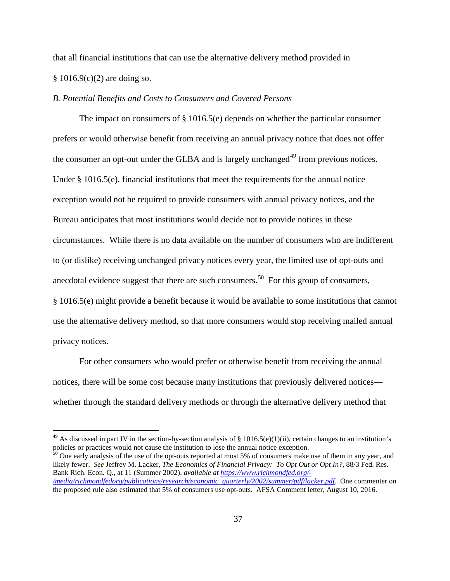that all financial institutions that can use the alternative delivery method provided in § 1016.9(c)(2) are doing so.

# *B. Potential Benefits and Costs to Consumers and Covered Persons*

The impact on consumers of  $\S$  1016.5(e) depends on whether the particular consumer prefers or would otherwise benefit from receiving an annual privacy notice that does not offer the consumer an opt-out under the GLBA and is largely unchanged<sup>[49](#page-36-0)</sup> from previous notices. Under  $\S$  1016.5(e), financial institutions that meet the requirements for the annual notice exception would not be required to provide consumers with annual privacy notices, and the Bureau anticipates that most institutions would decide not to provide notices in these circumstances. While there is no data available on the number of consumers who are indifferent to (or dislike) receiving unchanged privacy notices every year, the limited use of opt-outs and anecdotal evidence suggest that there are such consumers.<sup>[50](#page-36-1)</sup> For this group of consumers, § 1016.5(e) might provide a benefit because it would be available to some institutions that cannot use the alternative delivery method, so that more consumers would stop receiving mailed annual privacy notices.

For other consumers who would prefer or otherwise benefit from receiving the annual notices, there will be some cost because many institutions that previously delivered notices whether through the standard delivery methods or through the alternative delivery method that

<span id="page-36-1"></span> $50$  One early analysis of the use of the opt-outs reported at most 5% of consumers make use of them in any year, and likely fewer. *See* Jeffrey M. Lacker, *The Economics of Financial Privacy: To Opt Out or Opt In?*, 88/3 Fed. Res. Bank Rich. Econ. Q., at 11 (Summer 2002), *available at [https://www.richmondfed.org/-](https://www.richmondfed.org/-/media/richmondfedorg/publications/research/economic_quarterly/2002/summer/pdf/lacker.pdf) [/media/richmondfedorg/publications/research/economic\\_quarterly/2002/summer/pdf/lacker.pdf](https://www.richmondfed.org/-/media/richmondfedorg/publications/research/economic_quarterly/2002/summer/pdf/lacker.pdf)*. One commenter on the proposed rule also estimated that 5% of consumers use opt-outs. AFSA Comment letter, August 10, 2016.

<span id="page-36-0"></span><sup>&</sup>lt;sup>49</sup> As discussed in part IV in the section-by-section analysis of  $\S$  1016.5(e)(1)(ii), certain changes to an institution's policies or practices would not cause the institution to lose the annual notice exception.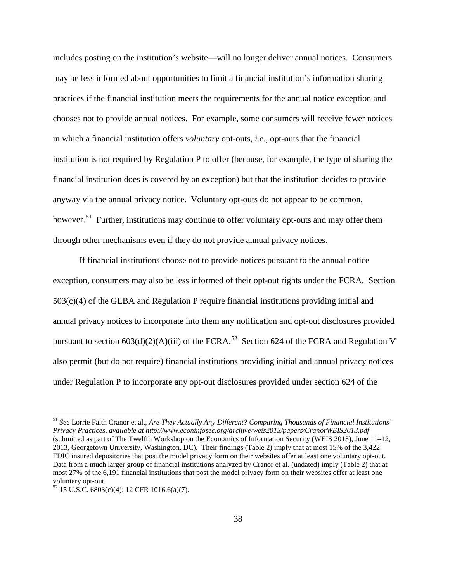includes posting on the institution's website—will no longer deliver annual notices. Consumers may be less informed about opportunities to limit a financial institution's information sharing practices if the financial institution meets the requirements for the annual notice exception and chooses not to provide annual notices. For example, some consumers will receive fewer notices in which a financial institution offers *voluntary* opt-outs, *i.e.*, opt-outs that the financial institution is not required by Regulation P to offer (because, for example, the type of sharing the financial institution does is covered by an exception) but that the institution decides to provide anyway via the annual privacy notice. Voluntary opt-outs do not appear to be common, however.<sup>[51](#page-37-0)</sup> Further, institutions may continue to offer voluntary opt-outs and may offer them through other mechanisms even if they do not provide annual privacy notices.

If financial institutions choose not to provide notices pursuant to the annual notice exception, consumers may also be less informed of their opt-out rights under the FCRA. Section 503(c)(4) of the GLBA and Regulation P require financial institutions providing initial and annual privacy notices to incorporate into them any notification and opt-out disclosures provided pursuant to section  $603(d)(2)(A)(iii)$  of the FCRA.<sup>[52](#page-37-1)</sup> Section 624 of the FCRA and Regulation V also permit (but do not require) financial institutions providing initial and annual privacy notices under Regulation P to incorporate any opt-out disclosures provided under section 624 of the

<span id="page-37-0"></span> <sup>51</sup> *See* Lorrie Faith Cranor et al., *Are They Actually Any Different? Comparing Thousands of Financial Institutions' Privacy Practices*, *available at http://www.econinfosec.org/archive/weis2013/papers/CranorWEIS2013.pdf*  (submitted as part of The Twelfth Workshop on the Economics of Information Security (WEIS 2013), June 11–12, 2013, Georgetown University, Washington, DC). Their findings (Table 2) imply that at most 15% of the 3,422 FDIC insured depositories that post the model privacy form on their websites offer at least one voluntary opt-out. Data from a much larger group of financial institutions analyzed by Cranor et al. (undated) imply (Table 2) that at most 27% of the 6,191 financial institutions that post the model privacy form on their websites offer at least one voluntary opt-out.

<span id="page-37-1"></span> $52$  15 U.S.C. 6803(c)(4); 12 CFR 1016.6(a)(7).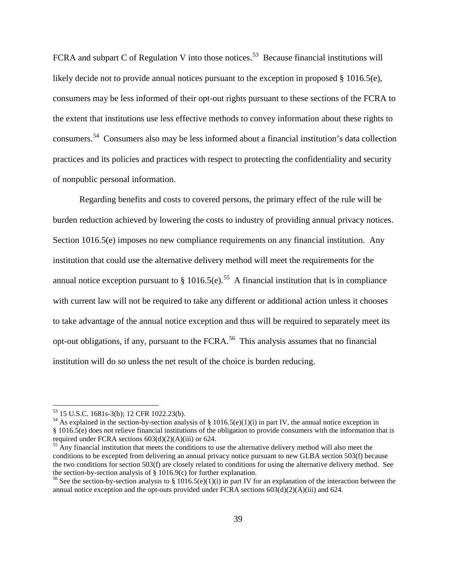FCRA and subpart C of Regulation V into those notices.<sup>[53](#page-38-0)</sup> Because financial institutions will likely decide not to provide annual notices pursuant to the exception in proposed § 1016.5(e), consumers may be less informed of their opt-out rights pursuant to these sections of the FCRA to the extent that institutions use less effective methods to convey information about these rights to consumers.[54](#page-38-1) Consumers also may be less informed about a financial institution's data collection practices and its policies and practices with respect to protecting the confidentiality and security of nonpublic personal information.

Regarding benefits and costs to covered persons, the primary effect of the rule will be burden reduction achieved by lowering the costs to industry of providing annual privacy notices. Section 1016.5(e) imposes no new compliance requirements on any financial institution. Any institution that could use the alternative delivery method will meet the requirements for the annual notice exception pursuant to  $\S$  1016.5(e).<sup>55</sup> A financial institution that is in compliance with current law will not be required to take any different or additional action unless it chooses to take advantage of the annual notice exception and thus will be required to separately meet its opt-out obligations, if any, pursuant to the FCRA.<sup>[56](#page-38-3)</sup> This analysis assumes that no financial institution will do so unless the net result of the choice is burden reducing.

<span id="page-38-1"></span><span id="page-38-0"></span><sup>&</sup>lt;sup>53</sup> 15 U.S.C. 1681s-3(b); 12 CFR 1022.23(b).<br><sup>54</sup> As explained in the section-by-section analysis of § 1016.5(e)(1)(i) in part IV, the annual notice exception in § 1016.5(e) does not relieve financial institutions of the obligation to provide consumers with the information that is required under FCRA sections  $603(d)(2)(A)(iii)$  or  $624$ .<br><sup>55</sup> Any financial institution that meets the conditions to use the alternative delivery method will also meet the

<span id="page-38-2"></span>conditions to be excepted from delivering an annual privacy notice pursuant to new GLBA section 503(f) because the two conditions for section 503(f) are closely related to conditions for using the alternative delivery method. See the section-by-section analysis of § 1016.9(c) for further explanation.<br><sup>56</sup> See the section-by-section analysis to § 1016.5(e)(1)(i) in part IV for an explanation of the interaction between the

<span id="page-38-3"></span>annual notice exception and the opt-outs provided under FCRA sections  $603\text{d}(2)(A)\text{(iii)}$  and  $624$ .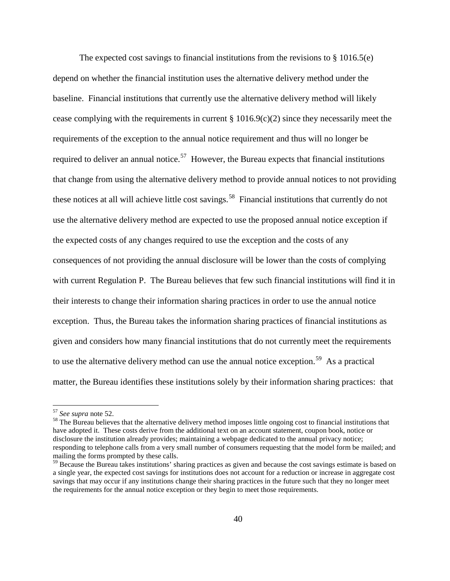The expected cost savings to financial institutions from the revisions to  $\S 1016.5(e)$ depend on whether the financial institution uses the alternative delivery method under the baseline. Financial institutions that currently use the alternative delivery method will likely cease complying with the requirements in current § 1016.9(c)(2) since they necessarily meet the requirements of the exception to the annual notice requirement and thus will no longer be required to deliver an annual notice.<sup>57</sup> However, the Bureau expects that financial institutions that change from using the alternative delivery method to provide annual notices to not providing these notices at all will achieve little cost savings.<sup>58</sup> Financial institutions that currently do not use the alternative delivery method are expected to use the proposed annual notice exception if the expected costs of any changes required to use the exception and the costs of any consequences of not providing the annual disclosure will be lower than the costs of complying with current Regulation P. The Bureau believes that few such financial institutions will find it in their interests to change their information sharing practices in order to use the annual notice exception. Thus, the Bureau takes the information sharing practices of financial institutions as given and considers how many financial institutions that do not currently meet the requirements to use the alternative delivery method can use the annual notice exception.<sup>59</sup> As a practical matter, the Bureau identifies these institutions solely by their information sharing practices: that

<span id="page-39-1"></span><span id="page-39-0"></span><sup>57</sup> *See supra* note 52.<br><sup>58</sup> The Bureau believes that the alternative delivery method imposes little ongoing cost to financial institutions that have adopted it. These costs derive from the additional text on an account statement, coupon book, notice or disclosure the institution already provides; maintaining a webpage dedicated to the annual privacy notice; responding to telephone calls from a very small number of consumers requesting that the model form be mailed; and mailing the forms prompted by these calls.

<span id="page-39-2"></span><sup>&</sup>lt;sup>59</sup> Because the Bureau takes institutions' sharing practices as given and because the cost savings estimate is based on a single year, the expected cost savings for institutions does not account for a reduction or increase in aggregate cost savings that may occur if any institutions change their sharing practices in the future such that they no longer meet the requirements for the annual notice exception or they begin to meet those requirements.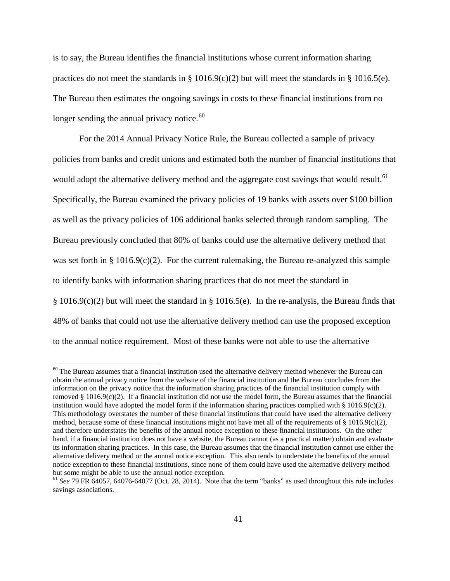is to say, the Bureau identifies the financial institutions whose current information sharing practices do not meet the standards in § 1016.9(c)(2) but will meet the standards in § 1016.5(e). The Bureau then estimates the ongoing savings in costs to these financial institutions from no longer sending the annual privacy notice.<sup>[60](#page-40-0)</sup>

For the 2014 Annual Privacy Notice Rule, the Bureau collected a sample of privacy policies from banks and credit unions and estimated both the number of financial institutions that would adopt the alternative delivery method and the aggregate cost savings that would result.<sup>[61](#page-40-1)</sup> Specifically, the Bureau examined the privacy policies of 19 banks with assets over \$100 billion as well as the privacy policies of 106 additional banks selected through random sampling. The Bureau previously concluded that 80% of banks could use the alternative delivery method that was set forth in § 1016.9(c)(2). For the current rulemaking, the Bureau re-analyzed this sample to identify banks with information sharing practices that do not meet the standard in § 1016.9(c)(2) but will meet the standard in § 1016.5(e). In the re-analysis, the Bureau finds that 48% of banks that could not use the alternative delivery method can use the proposed exception to the annual notice requirement. Most of these banks were not able to use the alternative

<span id="page-40-0"></span> $60$  The Bureau assumes that a financial institution used the alternative delivery method whenever the Bureau can obtain the annual privacy notice from the website of the financial institution and the Bureau concludes from the information on the privacy notice that the information sharing practices of the financial institution comply with removed  $\S 1016.9(c)(2)$ . If a financial institution did not use the model form, the Bureau assumes that the financial institution would have adopted the model form if the information sharing practices complied with  $\S$  1016.9(c)(2). This methodology overstates the number of these financial institutions that could have used the alternative delivery method, because some of these financial institutions might not have met all of the requirements of  $\S$  1016.9(c)(2), and therefore understates the benefits of the annual notice exception to these financial institutions. On the other hand, if a financial institution does not have a website, the Bureau cannot (as a practical matter) obtain and evaluate its information sharing practices. In this case, the Bureau assumes that the financial institution cannot use either the alternative delivery method or the annual notice exception. This also tends to understate the benefits of the annual notice exception to these financial institutions, since none of them could have used the alternative delivery method but some might be able to use the annual notice exception.

<span id="page-40-1"></span><sup>61</sup> *See* 79 FR 64057, 64076-64077 (Oct. 28, 2014). Note that the term "banks" as used throughout this rule includes savings associations.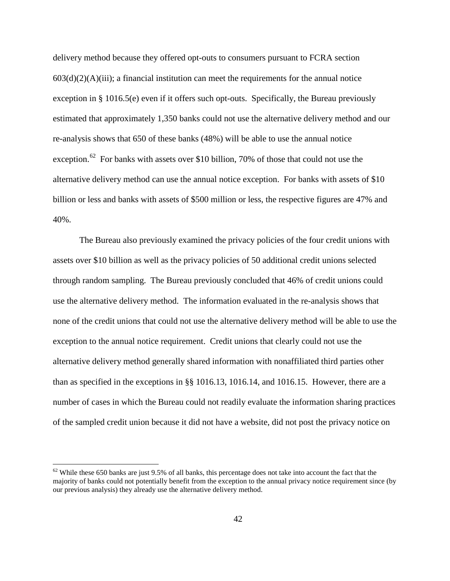delivery method because they offered opt-outs to consumers pursuant to FCRA section  $603(d)(2)(A)(iii)$ ; a financial institution can meet the requirements for the annual notice exception in § 1016.5(e) even if it offers such opt-outs. Specifically, the Bureau previously estimated that approximately 1,350 banks could not use the alternative delivery method and our re-analysis shows that 650 of these banks (48%) will be able to use the annual notice exception.<sup>[62](#page-41-0)</sup> For banks with assets over \$10 billion, 70% of those that could not use the alternative delivery method can use the annual notice exception. For banks with assets of \$10 billion or less and banks with assets of \$500 million or less, the respective figures are 47% and 40%.

The Bureau also previously examined the privacy policies of the four credit unions with assets over \$10 billion as well as the privacy policies of 50 additional credit unions selected through random sampling. The Bureau previously concluded that 46% of credit unions could use the alternative delivery method. The information evaluated in the re-analysis shows that none of the credit unions that could not use the alternative delivery method will be able to use the exception to the annual notice requirement. Credit unions that clearly could not use the alternative delivery method generally shared information with nonaffiliated third parties other than as specified in the exceptions in §§ 1016.13, 1016.14, and 1016.15. However, there are a number of cases in which the Bureau could not readily evaluate the information sharing practices of the sampled credit union because it did not have a website, did not post the privacy notice on

<span id="page-41-0"></span> $62$  While these 650 banks are just 9.5% of all banks, this percentage does not take into account the fact that the majority of banks could not potentially benefit from the exception to the annual privacy notice requirement since (by our previous analysis) they already use the alternative delivery method.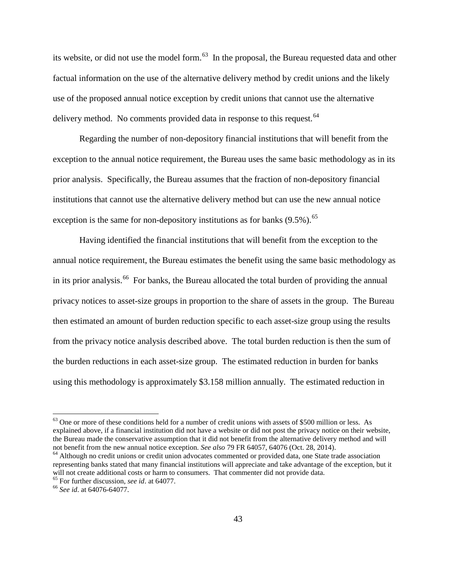its website, or did not use the model form. $^{63}$  $^{63}$  $^{63}$  In the proposal, the Bureau requested data and other factual information on the use of the alternative delivery method by credit unions and the likely use of the proposed annual notice exception by credit unions that cannot use the alternative delivery method. No comments provided data in response to this request.<sup>[64](#page-42-1)</sup>

Regarding the number of non-depository financial institutions that will benefit from the exception to the annual notice requirement, the Bureau uses the same basic methodology as in its prior analysis. Specifically, the Bureau assumes that the fraction of non-depository financial institutions that cannot use the alternative delivery method but can use the new annual notice exception is the same for non-depository institutions as for banks  $(9.5\%)$ .<sup>[65](#page-42-2)</sup>

Having identified the financial institutions that will benefit from the exception to the annual notice requirement, the Bureau estimates the benefit using the same basic methodology as in its prior analysis.<sup>[66](#page-42-3)</sup> For banks, the Bureau allocated the total burden of providing the annual privacy notices to asset-size groups in proportion to the share of assets in the group. The Bureau then estimated an amount of burden reduction specific to each asset-size group using the results from the privacy notice analysis described above. The total burden reduction is then the sum of the burden reductions in each asset-size group. The estimated reduction in burden for banks using this methodology is approximately \$3.158 million annually. The estimated reduction in

<span id="page-42-0"></span><sup>&</sup>lt;sup>63</sup> One or more of these conditions held for a number of credit unions with assets of \$500 million or less. As explained above, if a financial institution did not have a website or did not post the privacy notice on their website, the Bureau made the conservative assumption that it did not benefit from the alternative delivery method and will<br>not benefit from the new annual notice exception. See also 79 FR 64057, 64076 (Oct. 28, 2014).

<span id="page-42-1"></span><sup>&</sup>lt;sup>64</sup> Although no credit unions or credit union advocates commented or provided data, one State trade association representing banks stated that many financial institutions will appreciate and take advantage of the exception, but it will not create additional costs or harm to consumers. That commenter did not provide data.<br><sup>65</sup> For further discussion, *see id.* at 64077.<br><sup>66</sup> *See id.* at 64076-64077.

<span id="page-42-3"></span><span id="page-42-2"></span>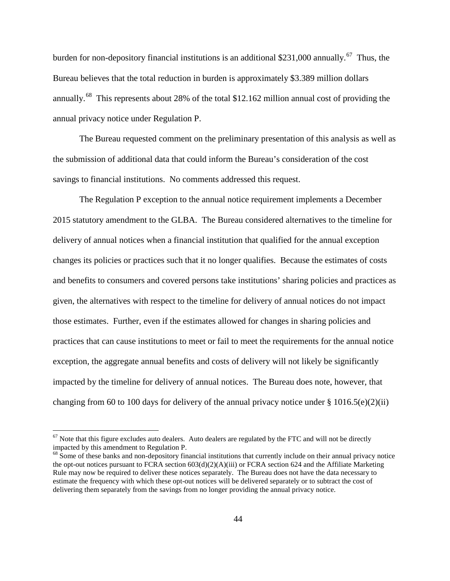burden for non-depository financial institutions is an additional \$231,000 annually.<sup>67</sup> Thus, the Bureau believes that the total reduction in burden is approximately \$3.389 million dollars annually.<sup>[68](#page-43-1)</sup> This represents about 28% of the total \$12.162 million annual cost of providing the annual privacy notice under Regulation P.

The Bureau requested comment on the preliminary presentation of this analysis as well as the submission of additional data that could inform the Bureau's consideration of the cost savings to financial institutions. No comments addressed this request.

The Regulation P exception to the annual notice requirement implements a December 2015 statutory amendment to the GLBA. The Bureau considered alternatives to the timeline for delivery of annual notices when a financial institution that qualified for the annual exception changes its policies or practices such that it no longer qualifies. Because the estimates of costs and benefits to consumers and covered persons take institutions' sharing policies and practices as given, the alternatives with respect to the timeline for delivery of annual notices do not impact those estimates. Further, even if the estimates allowed for changes in sharing policies and practices that can cause institutions to meet or fail to meet the requirements for the annual notice exception, the aggregate annual benefits and costs of delivery will not likely be significantly impacted by the timeline for delivery of annual notices. The Bureau does note, however, that changing from 60 to 100 days for delivery of the annual privacy notice under  $\S$  1016.5(e)(2)(ii)

<span id="page-43-0"></span> $67$  Note that this figure excludes auto dealers. Auto dealers are regulated by the FTC and will not be directly impacted by this amendment to Regulation P.

<span id="page-43-1"></span><sup>&</sup>lt;sup>68</sup> Some of these banks and non-depository financial institutions that currently include on their annual privacy notice the opt-out notices pursuant to FCRA section 603(d)(2)(A)(iii) or FCRA section 624 and the Affiliate Marketing Rule may now be required to deliver these notices separately. The Bureau does not have the data necessary to estimate the frequency with which these opt-out notices will be delivered separately or to subtract the cost of delivering them separately from the savings from no longer providing the annual privacy notice.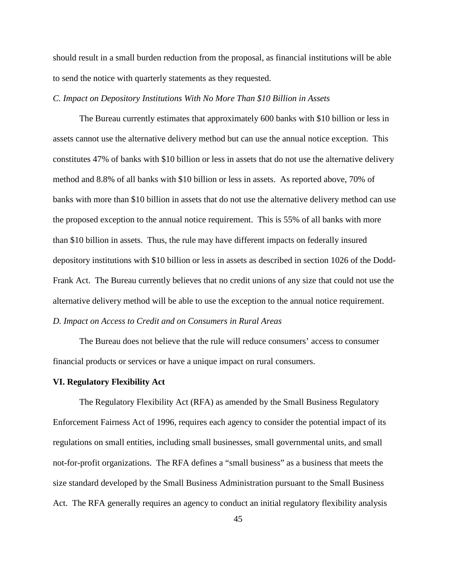should result in a small burden reduction from the proposal, as financial institutions will be able to send the notice with quarterly statements as they requested.

## *C. Impact on Depository Institutions With No More Than \$10 Billion in Assets*

The Bureau currently estimates that approximately 600 banks with \$10 billion or less in assets cannot use the alternative delivery method but can use the annual notice exception. This constitutes 47% of banks with \$10 billion or less in assets that do not use the alternative delivery method and 8.8% of all banks with \$10 billion or less in assets. As reported above, 70% of banks with more than \$10 billion in assets that do not use the alternative delivery method can use the proposed exception to the annual notice requirement. This is 55% of all banks with more than \$10 billion in assets. Thus, the rule may have different impacts on federally insured depository institutions with \$10 billion or less in assets as described in section 1026 of the Dodd-Frank Act. The Bureau currently believes that no credit unions of any size that could not use the alternative delivery method will be able to use the exception to the annual notice requirement. *D. Impact on Access to Credit and on Consumers in Rural Areas*

The Bureau does not believe that the rule will reduce consumers' access to consumer financial products or services or have a unique impact on rural consumers.

#### **VI. Regulatory Flexibility Act**

The Regulatory Flexibility Act (RFA) as amended by the Small Business Regulatory Enforcement Fairness Act of 1996, requires each agency to consider the potential impact of its regulations on small entities, including small businesses, small governmental units, and small not-for-profit organizations. The RFA defines a "small business" as a business that meets the size standard developed by the Small Business Administration pursuant to the Small Business Act. The RFA generally requires an agency to conduct an initial regulatory flexibility analysis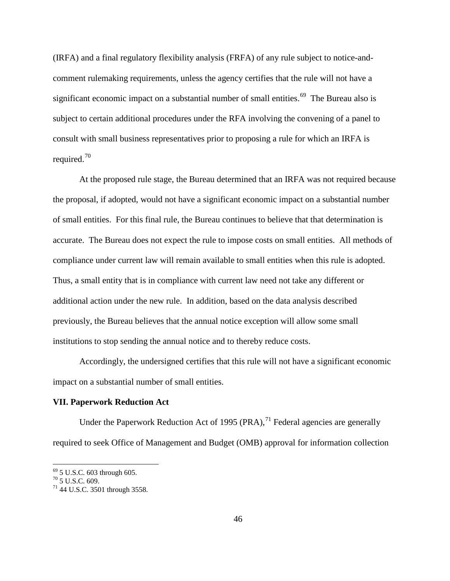(IRFA) and a final regulatory flexibility analysis (FRFA) of any rule subject to notice-andcomment rulemaking requirements, unless the agency certifies that the rule will not have a significant economic impact on a substantial number of small entities.<sup> $69$ </sup> The Bureau also is subject to certain additional procedures under the RFA involving the convening of a panel to consult with small business representatives prior to proposing a rule for which an IRFA is required.<sup>[70](#page-45-1)</sup>

At the proposed rule stage, the Bureau determined that an IRFA was not required because the proposal, if adopted, would not have a significant economic impact on a substantial number of small entities. For this final rule, the Bureau continues to believe that that determination is accurate. The Bureau does not expect the rule to impose costs on small entities. All methods of compliance under current law will remain available to small entities when this rule is adopted. Thus, a small entity that is in compliance with current law need not take any different or additional action under the new rule. In addition, based on the data analysis described previously, the Bureau believes that the annual notice exception will allow some small institutions to stop sending the annual notice and to thereby reduce costs.

Accordingly, the undersigned certifies that this rule will not have a significant economic impact on a substantial number of small entities.

#### **VII. Paperwork Reduction Act**

Under the Paperwork Reduction Act of 1995 (PRA), $^{71}$  $^{71}$  $^{71}$  Federal agencies are generally required to seek Office of Management and Budget (OMB) approval for information collection

<span id="page-45-1"></span><span id="page-45-0"></span><sup>69</sup> 5 U.S.C. 603 through 605. <sup>70</sup> 5 U.S.C. 609. <sup>71</sup> 44 U.S.C. 3501 through 3558*.*

<span id="page-45-2"></span>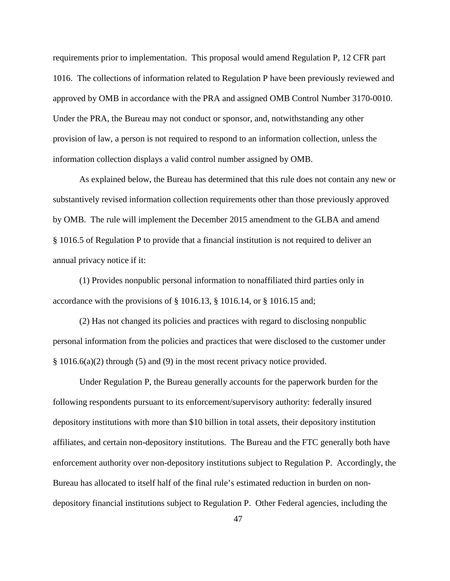requirements prior to implementation. This proposal would amend Regulation P, 12 CFR part 1016. The collections of information related to Regulation P have been previously reviewed and approved by OMB in accordance with the PRA and assigned OMB Control Number 3170-0010. Under the PRA, the Bureau may not conduct or sponsor, and, notwithstanding any other provision of law, a person is not required to respond to an information collection, unless the information collection displays a valid control number assigned by OMB.

As explained below, the Bureau has determined that this rule does not contain any new or substantively revised information collection requirements other than those previously approved by OMB. The rule will implement the December 2015 amendment to the GLBA and amend § 1016.5 of Regulation P to provide that a financial institution is not required to deliver an annual privacy notice if it:

(1) Provides nonpublic personal information to nonaffiliated third parties only in accordance with the provisions of § 1016.13, § 1016.14, or § 1016.15 and;

(2) Has not changed its policies and practices with regard to disclosing nonpublic personal information from the policies and practices that were disclosed to the customer under § 1016.6(a)(2) through (5) and (9) in the most recent privacy notice provided.

Under Regulation P, the Bureau generally accounts for the paperwork burden for the following respondents pursuant to its enforcement/supervisory authority: federally insured depository institutions with more than \$10 billion in total assets, their depository institution affiliates, and certain non-depository institutions. The Bureau and the FTC generally both have enforcement authority over non-depository institutions subject to Regulation P. Accordingly, the Bureau has allocated to itself half of the final rule's estimated reduction in burden on nondepository financial institutions subject to Regulation P. Other Federal agencies, including the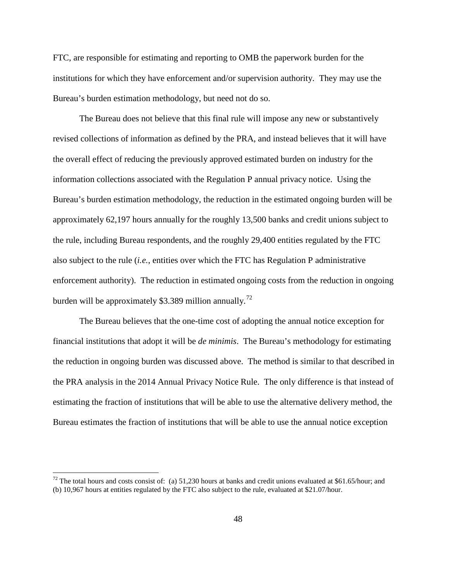FTC, are responsible for estimating and reporting to OMB the paperwork burden for the institutions for which they have enforcement and/or supervision authority. They may use the Bureau's burden estimation methodology, but need not do so.

The Bureau does not believe that this final rule will impose any new or substantively revised collections of information as defined by the PRA, and instead believes that it will have the overall effect of reducing the previously approved estimated burden on industry for the information collections associated with the Regulation P annual privacy notice. Using the Bureau's burden estimation methodology, the reduction in the estimated ongoing burden will be approximately 62,197 hours annually for the roughly 13,500 banks and credit unions subject to the rule, including Bureau respondents, and the roughly 29,400 entities regulated by the FTC also subject to the rule (*i.e.*, entities over which the FTC has Regulation P administrative enforcement authority). The reduction in estimated ongoing costs from the reduction in ongoing burden will be approximately \$3.389 million annually.<sup>[72](#page-47-0)</sup>

The Bureau believes that the one-time cost of adopting the annual notice exception for financial institutions that adopt it will be *de minimis*. The Bureau's methodology for estimating the reduction in ongoing burden was discussed above. The method is similar to that described in the PRA analysis in the 2014 Annual Privacy Notice Rule. The only difference is that instead of estimating the fraction of institutions that will be able to use the alternative delivery method, the Bureau estimates the fraction of institutions that will be able to use the annual notice exception

<span id="page-47-0"></span> $72$  The total hours and costs consist of: (a) 51,230 hours at banks and credit unions evaluated at \$61.65/hour; and (b) 10,967 hours at entities regulated by the FTC also subject to the rule, evaluated at \$21.07/hour.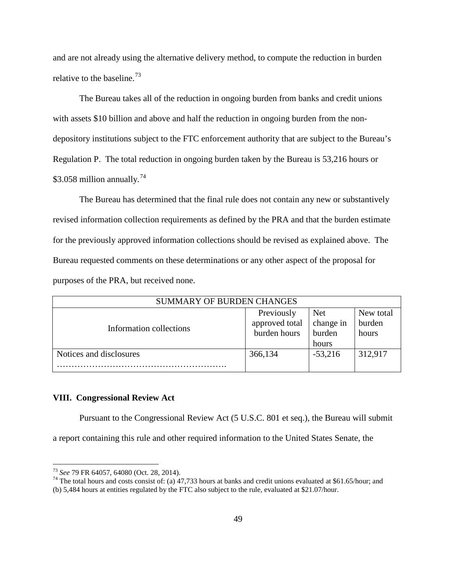and are not already using the alternative delivery method, to compute the reduction in burden relative to the baseline.<sup>[73](#page-48-0)</sup>

The Bureau takes all of the reduction in ongoing burden from banks and credit unions with assets \$10 billion and above and half the reduction in ongoing burden from the nondepository institutions subject to the FTC enforcement authority that are subject to the Bureau's Regulation P. The total reduction in ongoing burden taken by the Bureau is 53,216 hours or \$3.058 million annually.<sup>[74](#page-48-1)</sup>

The Bureau has determined that the final rule does not contain any new or substantively revised information collection requirements as defined by the PRA and that the burden estimate for the previously approved information collections should be revised as explained above. The Bureau requested comments on these determinations or any other aspect of the proposal for purposes of the PRA, but received none.

| <b>SUMMARY OF BURDEN CHANGES</b> |                                              |                                            |                              |
|----------------------------------|----------------------------------------------|--------------------------------------------|------------------------------|
| Information collections          | Previously<br>approved total<br>burden hours | <b>Net</b><br>change in<br>burden<br>hours | New total<br>burden<br>hours |
| Notices and disclosures          | 366,134                                      | $-53,216$                                  | 312,917                      |
|                                  |                                              |                                            |                              |

# **VIII. Congressional Review Act**

Pursuant to the Congressional Review Act (5 U.S.C. 801 et seq.), the Bureau will submit a report containing this rule and other required information to the United States Senate, the

<span id="page-48-1"></span><span id="page-48-0"></span><sup>&</sup>lt;sup>73</sup> *See* 79 FR 64057, 64080 (Oct. 28, 2014).<br><sup>74</sup> The total hours and costs consist of: (a) 47,733 hours at banks and credit unions evaluated at \$61.65/hour; and

<sup>(</sup>b) 5,484 hours at entities regulated by the FTC also subject to the rule, evaluated at \$21.07/hour.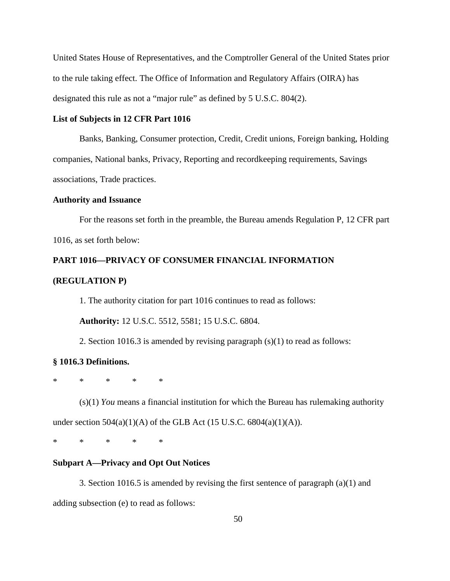United States House of Representatives, and the Comptroller General of the United States prior to the rule taking effect. The Office of Information and Regulatory Affairs (OIRA) has designated this rule as not a "major rule" as defined by 5 U.S.C. 804(2).

# **List of Subjects in 12 CFR Part 1016**

Banks, Banking, Consumer protection, Credit, Credit unions, Foreign banking, Holding companies, National banks, Privacy, Reporting and recordkeeping requirements, Savings associations, Trade practices.

# **Authority and Issuance**

For the reasons set forth in the preamble, the Bureau amends Regulation P, 12 CFR part 1016, as set forth below:

# **PART 1016—PRIVACY OF CONSUMER FINANCIAL INFORMATION**

# **(REGULATION P)**

1. The authority citation for part 1016 continues to read as follows:

**Authority:** 12 U.S.C. 5512, 5581; 15 U.S.C. 6804.

2. Section 1016.3 is amended by revising paragraph (s)(1) to read as follows:

# **§ 1016.3 Definitions.**

\* \* \* \* \*

(s)(1) *You* means a financial institution for which the Bureau has rulemaking authority under section  $504(a)(1)(A)$  of the GLB Act (15 U.S.C. 6804(a)(1)(A)).

\* \* \* \* \*

# **Subpart A—Privacy and Opt Out Notices**

3. Section 1016.5 is amended by revising the first sentence of paragraph (a)(1) and adding subsection (e) to read as follows: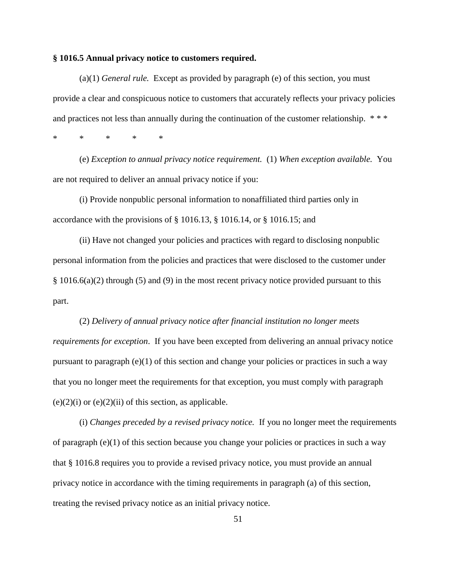## **§ 1016.5 Annual privacy notice to customers required.**

(a)(1) *General rule.* Except as provided by paragraph (e) of this section, you must provide a clear and conspicuous notice to customers that accurately reflects your privacy policies and practices not less than annually during the continuation of the customer relationship. \*\*\*

\* \* \* \* \*

(e) *Exception to annual privacy notice requirement.* (1) *When exception available.* You are not required to deliver an annual privacy notice if you:

(i) Provide nonpublic personal information to nonaffiliated third parties only in accordance with the provisions of § 1016.13, § 1016.14, or § 1016.15; and

(ii) Have not changed your policies and practices with regard to disclosing nonpublic personal information from the policies and practices that were disclosed to the customer under § 1016.6(a)(2) through (5) and (9) in the most recent privacy notice provided pursuant to this part.

(2) *Delivery of annual privacy notice after financial institution no longer meets requirements for exception*. If you have been excepted from delivering an annual privacy notice pursuant to paragraph (e)(1) of this section and change your policies or practices in such a way that you no longer meet the requirements for that exception, you must comply with paragraph  $(e)(2)(i)$  or  $(e)(2)(ii)$  of this section, as applicable.

(i) *Changes preceded by a revised privacy notice.* If you no longer meet the requirements of paragraph (e)(1) of this section because you change your policies or practices in such a way that § 1016.8 requires you to provide a revised privacy notice, you must provide an annual privacy notice in accordance with the timing requirements in paragraph (a) of this section, treating the revised privacy notice as an initial privacy notice.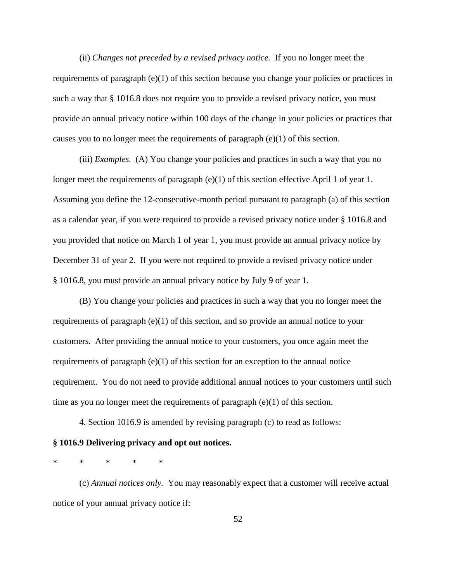(ii) *Changes not preceded by a revised privacy notice.* If you no longer meet the requirements of paragraph (e)(1) of this section because you change your policies or practices in such a way that § 1016.8 does not require you to provide a revised privacy notice, you must provide an annual privacy notice within 100 days of the change in your policies or practices that causes you to no longer meet the requirements of paragraph (e)(1) of this section.

(iii) *Examples.* (A) You change your policies and practices in such a way that you no longer meet the requirements of paragraph (e)(1) of this section effective April 1 of year 1. Assuming you define the 12-consecutive-month period pursuant to paragraph (a) of this section as a calendar year, if you were required to provide a revised privacy notice under § 1016.8 and you provided that notice on March 1 of year 1, you must provide an annual privacy notice by December 31 of year 2. If you were not required to provide a revised privacy notice under § 1016.8, you must provide an annual privacy notice by July 9 of year 1.

(B) You change your policies and practices in such a way that you no longer meet the requirements of paragraph  $(e)(1)$  of this section, and so provide an annual notice to your customers. After providing the annual notice to your customers, you once again meet the requirements of paragraph  $(e)(1)$  of this section for an exception to the annual notice requirement. You do not need to provide additional annual notices to your customers until such time as you no longer meet the requirements of paragraph (e)(1) of this section.

4. Section 1016.9 is amended by revising paragraph (c) to read as follows:

# **§ 1016.9 Delivering privacy and opt out notices.**

\* \* \* \* \*

(c) *Annual notices only.* You may reasonably expect that a customer will receive actual notice of your annual privacy notice if: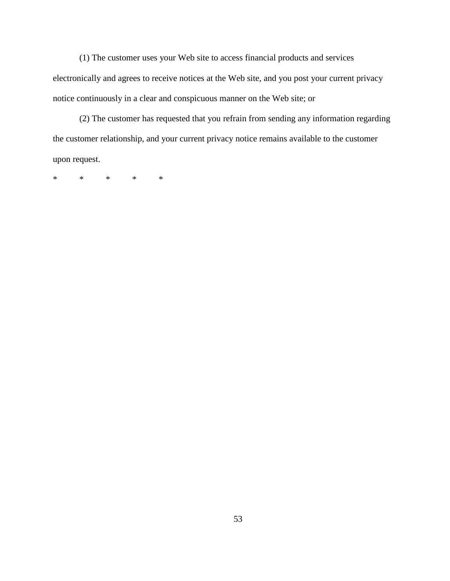(1) The customer uses your Web site to access financial products and services electronically and agrees to receive notices at the Web site, and you post your current privacy notice continuously in a clear and conspicuous manner on the Web site; or

(2) The customer has requested that you refrain from sending any information regarding the customer relationship, and your current privacy notice remains available to the customer upon request.

\* \* \* \* \*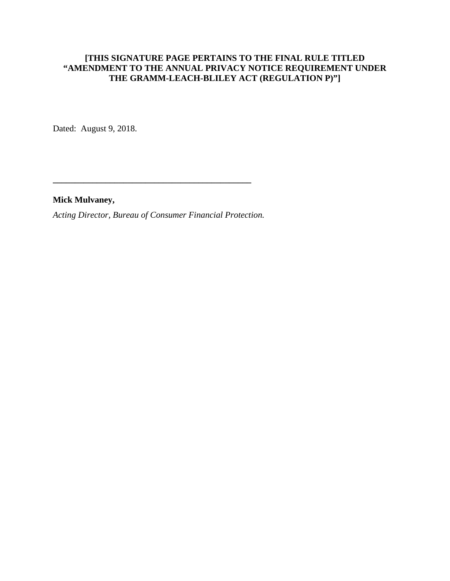# **[THIS SIGNATURE PAGE PERTAINS TO THE FINAL RULE TITLED "AMENDMENT TO THE ANNUAL PRIVACY NOTICE REQUIREMENT UNDER THE GRAMM-LEACH-BLILEY ACT (REGULATION P)"]**

Dated: August 9, 2018.

**Mick Mulvaney,**

*Acting Director, Bureau of Consumer Financial Protection.*

**\_\_\_\_\_\_\_\_\_\_\_\_\_\_\_\_\_\_\_\_\_\_\_\_\_\_\_\_\_\_\_\_\_\_\_\_\_\_\_\_\_\_\_\_\_**